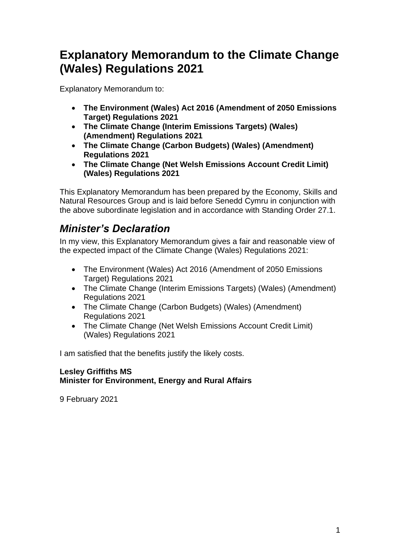# **Explanatory Memorandum to the Climate Change (Wales) Regulations 2021**

Explanatory Memorandum to:

- **The Environment (Wales) Act 2016 (Amendment of 2050 Emissions Target) Regulations 2021**
- **The Climate Change (Interim Emissions Targets) (Wales) (Amendment) Regulations 2021**
- **The Climate Change (Carbon Budgets) (Wales) (Amendment) Regulations 2021**
- **The Climate Change (Net Welsh Emissions Account Credit Limit) (Wales) Regulations 2021**

This Explanatory Memorandum has been prepared by the Economy, Skills and Natural Resources Group and is laid before Senedd Cymru in conjunction with the above subordinate legislation and in accordance with Standing Order 27.1.

## *Minister's Declaration*

In my view, this Explanatory Memorandum gives a fair and reasonable view of the expected impact of the Climate Change (Wales) Regulations 2021:

- The Environment (Wales) Act 2016 (Amendment of 2050 Emissions Target) Regulations 2021
- The Climate Change (Interim Emissions Targets) (Wales) (Amendment) Regulations 2021
- The Climate Change (Carbon Budgets) (Wales) (Amendment) Regulations 2021
- The Climate Change (Net Welsh Emissions Account Credit Limit) (Wales) Regulations 2021

I am satisfied that the benefits justify the likely costs.

### **Lesley Griffiths MS Minister for Environment, Energy and Rural Affairs**

9 February 2021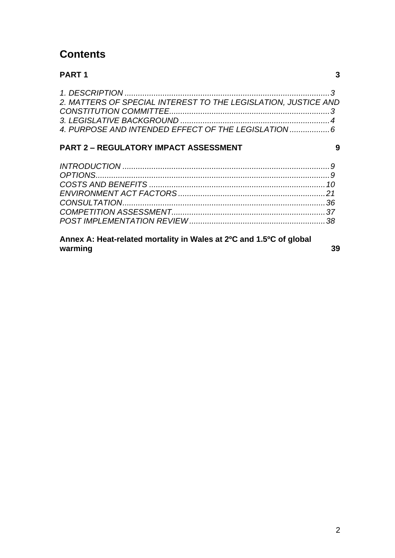## **Contents**

### **[PART 1](#page-2-0) 3**

| 2. MATTERS OF SPECIAL INTEREST TO THE LEGISLATION, JUSTICE AND |  |
|----------------------------------------------------------------|--|
|                                                                |  |
|                                                                |  |
| 4. PURPOSE AND INTENDED EFFECT OF THE LEGISLATION              |  |

## **PART 2 – [REGULATORY IMPACT ASSESSMENT](#page-8-0) 9**

## **[Annex A: Heat-related mortality in Wales at 2ºC and 1.5ºC of global](#page-38-0)  [warming](#page-38-0)** 39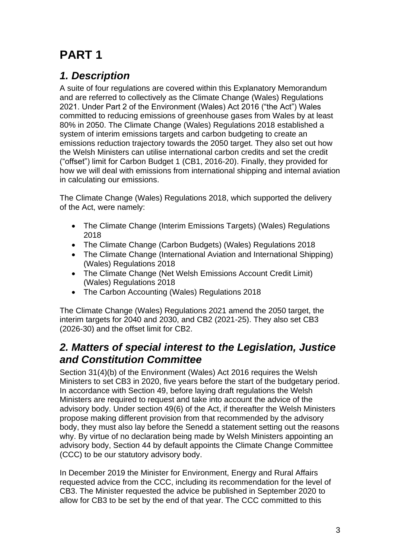# <span id="page-2-0"></span>**PART 1**

## <span id="page-2-1"></span>*1. Description*

A suite of four regulations are covered within this Explanatory Memorandum and are referred to collectively as the Climate Change (Wales) Regulations 2021. Under Part 2 of the Environment (Wales) Act 2016 ("the Act") Wales committed to reducing emissions of greenhouse gases from Wales by at least 80% in 2050. The Climate Change (Wales) Regulations 2018 established a system of interim emissions targets and carbon budgeting to create an emissions reduction trajectory towards the 2050 target. They also set out how the Welsh Ministers can utilise international carbon credits and set the credit ("offset") limit for Carbon Budget 1 (CB1, 2016-20). Finally, they provided for how we will deal with emissions from international shipping and internal aviation in calculating our emissions.

The Climate Change (Wales) Regulations 2018, which supported the delivery of the Act, were namely:

- The Climate Change (Interim Emissions Targets) (Wales) Regulations 2018
- The Climate Change (Carbon Budgets) (Wales) Regulations 2018
- The Climate Change (International Aviation and International Shipping) (Wales) Regulations 2018
- The Climate Change (Net Welsh Emissions Account Credit Limit) (Wales) Regulations 2018
- The Carbon Accounting (Wales) Regulations 2018

The Climate Change (Wales) Regulations 2021 amend the 2050 target, the interim targets for 2040 and 2030, and CB2 (2021-25). They also set CB3 (2026-30) and the offset limit for CB2.

## <span id="page-2-2"></span>*2. Matters of special interest to the Legislation, Justice and Constitution Committee*

Section 31(4)(b) of the Environment (Wales) Act 2016 requires the Welsh Ministers to set CB3 in 2020, five years before the start of the budgetary period. In accordance with Section 49, before laying draft regulations the Welsh Ministers are required to request and take into account the advice of the advisory body. Under section 49(6) of the Act, if thereafter the Welsh Ministers propose making different provision from that recommended by the advisory body, they must also lay before the Senedd a statement setting out the reasons why. By virtue of no declaration being made by Welsh Ministers appointing an advisory body, Section 44 by default appoints the Climate Change Committee (CCC) to be our statutory advisory body.

In December 2019 the Minister for Environment, Energy and Rural Affairs requested advice from the CCC, including its recommendation for the level of CB3. The Minister requested the advice be published in September 2020 to allow for CB3 to be set by the end of that year. The CCC committed to this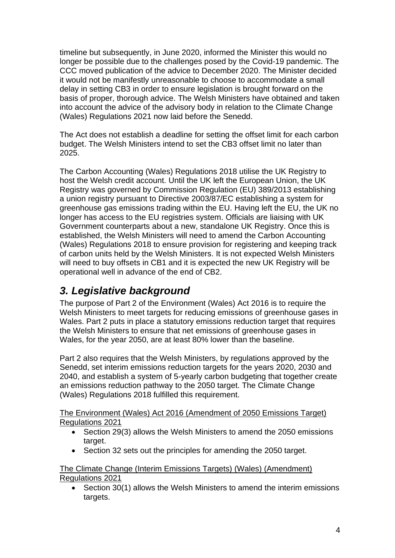timeline but subsequently, in June 2020, informed the Minister this would no longer be possible due to the challenges posed by the Covid-19 pandemic. The CCC moved publication of the advice to December 2020. The Minister decided it would not be manifestly unreasonable to choose to accommodate a small delay in setting CB3 in order to ensure legislation is brought forward on the basis of proper, thorough advice. The Welsh Ministers have obtained and taken into account the advice of the advisory body in relation to the Climate Change (Wales) Regulations 2021 now laid before the Senedd.

The Act does not establish a deadline for setting the offset limit for each carbon budget. The Welsh Ministers intend to set the CB3 offset limit no later than 2025.

The Carbon Accounting (Wales) Regulations 2018 utilise the UK Registry to host the Welsh credit account. Until the UK left the European Union, the UK Registry was governed by Commission Regulation (EU) 389/2013 establishing a union registry pursuant to Directive 2003/87/EC establishing a system for greenhouse gas emissions trading within the EU. Having left the EU, the UK no longer has access to the EU registries system. Officials are liaising with UK Government counterparts about a new, standalone UK Registry. Once this is established, the Welsh Ministers will need to amend the Carbon Accounting (Wales) Regulations 2018 to ensure provision for registering and keeping track of carbon units held by the Welsh Ministers. It is not expected Welsh Ministers will need to buy offsets in CB1 and it is expected the new UK Registry will be operational well in advance of the end of CB2.

## <span id="page-3-0"></span>*3. Legislative background*

The purpose of Part 2 of the Environment (Wales) Act 2016 is to require the Welsh Ministers to meet targets for reducing emissions of greenhouse gases in Wales. Part 2 puts in place a statutory emissions reduction target that requires the Welsh Ministers to ensure that net emissions of greenhouse gases in Wales, for the year 2050, are at least 80% lower than the baseline.

Part 2 also requires that the Welsh Ministers, by regulations approved by the Senedd, set interim emissions reduction targets for the years 2020, 2030 and 2040, and establish a system of 5-yearly carbon budgeting that together create an emissions reduction pathway to the 2050 target. The Climate Change (Wales) Regulations 2018 fulfilled this requirement.

The Environment (Wales) Act 2016 (Amendment of 2050 Emissions Target) Regulations 2021

- Section 29(3) allows the Welsh Ministers to amend the 2050 emissions target.
- Section 32 sets out the principles for amending the 2050 target.

The Climate Change (Interim Emissions Targets) (Wales) (Amendment) Regulations 2021

• Section 30(1) allows the Welsh Ministers to amend the interim emissions targets.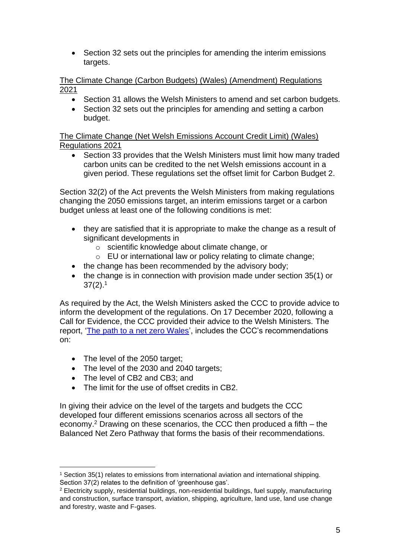• Section 32 sets out the principles for amending the interim emissions targets.

The Climate Change (Carbon Budgets) (Wales) (Amendment) Regulations 2021

- Section 31 allows the Welsh Ministers to amend and set carbon budgets.
- Section 32 sets out the principles for amending and setting a carbon budget.

The Climate Change (Net Welsh Emissions Account Credit Limit) (Wales) Regulations 2021

• Section 33 provides that the Welsh Ministers must limit how many traded carbon units can be credited to the net Welsh emissions account in a given period. These regulations set the offset limit for Carbon Budget 2.

Section 32(2) of the Act prevents the Welsh Ministers from making regulations changing the 2050 emissions target, an interim emissions target or a carbon budget unless at least one of the following conditions is met:

- they are satisfied that it is appropriate to make the change as a result of significant developments in
	- o scientific knowledge about climate change, or
	- o EU or international law or policy relating to climate change;
- the change has been recommended by the advisory body;
- the change is in connection with provision made under section 35(1) or  $37(2).1$

As required by the Act, the Welsh Ministers asked the CCC to provide advice to inform the development of the regulations. On 17 December 2020, following a Call for Evidence, the CCC provided their advice to the Welsh Ministers. The report, ['The path to a net zero Wales'](https://www.theccc.org.uk/wp-content/uploads/2020/12/Advice-Report-The-path-to-a-Net-Zero-Wales.pdf), includes the CCC's recommendations on:

- The level of the 2050 target;
- The level of the 2030 and 2040 targets;
- The level of CB2 and CB3; and
- The limit for the use of offset credits in CB2.

In giving their advice on the level of the targets and budgets the CCC developed four different emissions scenarios across all sectors of the economy.<sup>2</sup> Drawing on these scenarios, the CCC then produced a fifth – the Balanced Net Zero Pathway that forms the basis of their recommendations.

<sup>1</sup> Section 35(1) relates to emissions from international aviation and international shipping. Section 37(2) relates to the definition of 'greenhouse gas'.

<sup>2</sup> Electricity supply, residential buildings, non-residential buildings, fuel supply, manufacturing and construction, surface transport, aviation, shipping, agriculture, land use, land use change and forestry, waste and F-gases.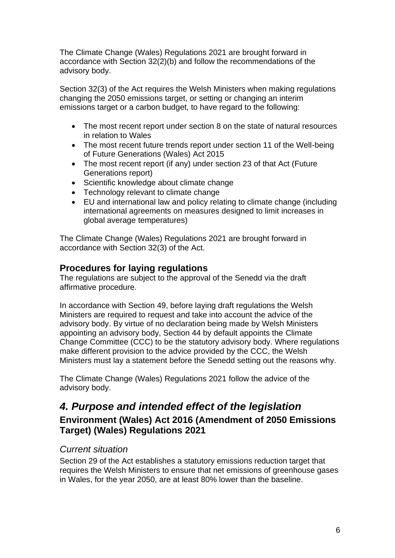The Climate Change (Wales) Regulations 2021 are brought forward in accordance with Section 32(2)(b) and follow the recommendations of the advisory body.

Section 32(3) of the Act requires the Welsh Ministers when making regulations changing the 2050 emissions target, or setting or changing an interim emissions target or a carbon budget, to have regard to the following:

- The most recent report under section 8 on the state of natural resources in relation to Wales
- The most recent future trends report under section 11 of the Well-being of Future Generations (Wales) Act 2015
- The most recent report (if any) under section 23 of that Act (Future Generations report)
- Scientific knowledge about climate change
- Technology relevant to climate change
- EU and international law and policy relating to climate change (including international agreements on measures designed to limit increases in global average temperatures)

The Climate Change (Wales) Regulations 2021 are brought forward in accordance with Section 32(3) of the Act.

## **Procedures for laying regulations**

The regulations are subject to the approval of the Senedd via the draft affirmative procedure.

In accordance with Section 49, before laying draft regulations the Welsh Ministers are required to request and take into account the advice of the advisory body. By virtue of no declaration being made by Welsh Ministers appointing an advisory body, Section 44 by default appoints the Climate Change Committee (CCC) to be the statutory advisory body. Where regulations make different provision to the advice provided by the CCC, the Welsh Ministers must lay a statement before the Senedd setting out the reasons why.

The Climate Change (Wales) Regulations 2021 follow the advice of the advisory body.

## <span id="page-5-0"></span>*4. Purpose and intended effect of the legislation* **Environment (Wales) Act 2016 (Amendment of 2050 Emissions Target) (Wales) Regulations 2021**

## *Current situation*

Section 29 of the Act establishes a statutory emissions reduction target that requires the Welsh Ministers to ensure that net emissions of greenhouse gases in Wales, for the year 2050, are at least 80% lower than the baseline.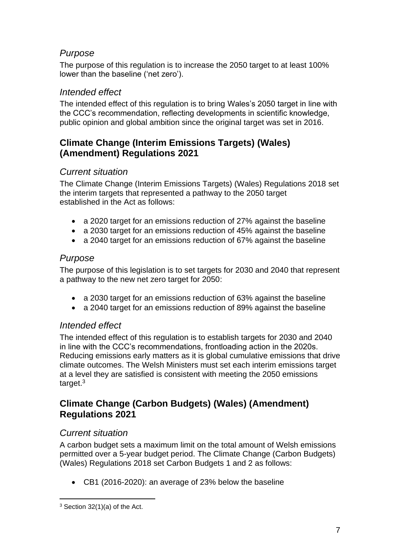## *Purpose*

The purpose of this regulation is to increase the 2050 target to at least 100% lower than the baseline ('net zero').

## *Intended effect*

The intended effect of this regulation is to bring Wales's 2050 target in line with the CCC's recommendation, reflecting developments in scientific knowledge, public opinion and global ambition since the original target was set in 2016.

## **Climate Change (Interim Emissions Targets) (Wales) (Amendment) Regulations 2021**

## *Current situation*

The Climate Change (Interim Emissions Targets) (Wales) Regulations 2018 set the interim targets that represented a pathway to the 2050 target established in the Act as follows:

- a 2020 target for an emissions reduction of 27% against the baseline
- a 2030 target for an emissions reduction of 45% against the baseline
- a 2040 target for an emissions reduction of 67% against the baseline

## *Purpose*

The purpose of this legislation is to set targets for 2030 and 2040 that represent a pathway to the new net zero target for 2050:

- a 2030 target for an emissions reduction of 63% against the baseline
- a 2040 target for an emissions reduction of 89% against the baseline

## *Intended effect*

The intended effect of this regulation is to establish targets for 2030 and 2040 in line with the CCC's recommendations, frontloading action in the 2020s. Reducing emissions early matters as it is global cumulative emissions that drive climate outcomes. The Welsh Ministers must set each interim emissions target at a level they are satisfied is consistent with meeting the 2050 emissions target.<sup>3</sup>

## **Climate Change (Carbon Budgets) (Wales) (Amendment) Regulations 2021**

## *Current situation*

A carbon budget sets a maximum limit on the total amount of Welsh emissions permitted over a 5-year budget period. The Climate Change (Carbon Budgets) (Wales) Regulations 2018 set Carbon Budgets 1 and 2 as follows:

• CB1 (2016-2020): an average of 23% below the baseline

 $3$  Section 32(1)(a) of the Act.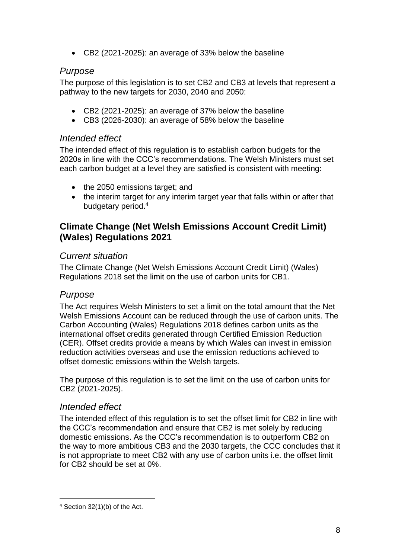• CB2 (2021-2025): an average of 33% below the baseline

### *Purpose*

The purpose of this legislation is to set CB2 and CB3 at levels that represent a pathway to the new targets for 2030, 2040 and 2050:

- CB2 (2021-2025): an average of 37% below the baseline
- CB3 (2026-2030): an average of 58% below the baseline

### *Intended effect*

The intended effect of this regulation is to establish carbon budgets for the 2020s in line with the CCC's recommendations. The Welsh Ministers must set each carbon budget at a level they are satisfied is consistent with meeting:

- the 2050 emissions target: and
- the interim target for any interim target year that falls within or after that budgetary period. 4

## **Climate Change (Net Welsh Emissions Account Credit Limit) (Wales) Regulations 2021**

### *Current situation*

The Climate Change (Net Welsh Emissions Account Credit Limit) (Wales) Regulations 2018 set the limit on the use of carbon units for CB1.

## *Purpose*

The Act requires Welsh Ministers to set a limit on the total amount that the Net Welsh Emissions Account can be reduced through the use of carbon units. The Carbon Accounting (Wales) Regulations 2018 defines carbon units as the international offset credits generated through Certified Emission Reduction (CER). Offset credits provide a means by which Wales can invest in emission reduction activities overseas and use the emission reductions achieved to offset domestic emissions within the Welsh targets.

The purpose of this regulation is to set the limit on the use of carbon units for CB2 (2021-2025).

#### *Intended effect*

The intended effect of this regulation is to set the offset limit for CB2 in line with the CCC's recommendation and ensure that CB2 is met solely by reducing domestic emissions. As the CCC's recommendation is to outperform CB2 on the way to more ambitious CB3 and the 2030 targets, the CCC concludes that it is not appropriate to meet CB2 with any use of carbon units i.e. the offset limit for CB2 should be set at 0%.

<sup>4</sup> Section 32(1)(b) of the Act.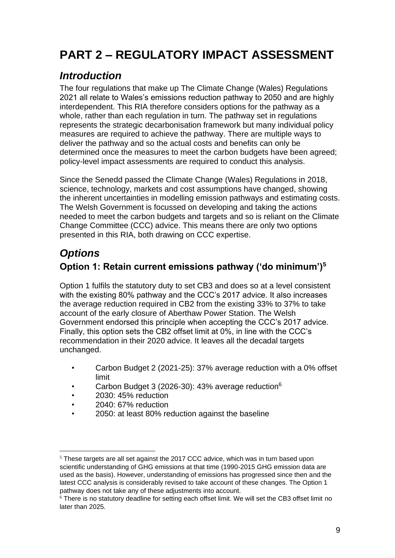# <span id="page-8-0"></span>**PART 2 – REGULATORY IMPACT ASSESSMENT**

## <span id="page-8-1"></span>*Introduction*

The four regulations that make up The Climate Change (Wales) Regulations 2021 all relate to Wales's emissions reduction pathway to 2050 and are highly interdependent. This RIA therefore considers options for the pathway as a whole, rather than each regulation in turn. The pathway set in regulations represents the strategic decarbonisation framework but many individual policy measures are required to achieve the pathway. There are multiple ways to deliver the pathway and so the actual costs and benefits can only be determined once the measures to meet the carbon budgets have been agreed; policy-level impact assessments are required to conduct this analysis.

Since the Senedd passed the Climate Change (Wales) Regulations in 2018, science, technology, markets and cost assumptions have changed, showing the inherent uncertainties in modelling emission pathways and estimating costs. The Welsh Government is focussed on developing and taking the actions needed to meet the carbon budgets and targets and so is reliant on the Climate Change Committee (CCC) advice. This means there are only two options presented in this RIA, both drawing on CCC expertise.

## <span id="page-8-2"></span>*Options*

## **Option 1: Retain current emissions pathway ('do minimum')<sup>5</sup>**

Option 1 fulfils the statutory duty to set CB3 and does so at a level consistent with the existing 80% pathway and the CCC's 2017 advice. It also increases the average reduction required in CB2 from the existing 33% to 37% to take account of the early closure of Aberthaw Power Station. The Welsh Government endorsed this principle when accepting the CCC's 2017 advice. Finally, this option sets the CB2 offset limit at 0%, in line with the CCC's recommendation in their 2020 advice. It leaves all the decadal targets unchanged.

- Carbon Budget 2 (2021-25): 37% average reduction with a 0% offset limit
- Carbon Budget 3 (2026-30): 43% average reduction<sup>6</sup>
- 2030: 45% reduction
- 2040: 67% reduction
- 2050: at least 80% reduction against the baseline

 $<sup>5</sup>$  These targets are all set against the 2017 CCC advice, which was in turn based upon</sup> scientific understanding of GHG emissions at that time (1990-2015 GHG emission data are used as the basis). However, understanding of emissions has progressed since then and the latest CCC analysis is considerably revised to take account of these changes. The Option 1 pathway does not take any of these adjustments into account.

<sup>&</sup>lt;sup>6</sup> There is no statutory deadline for setting each offset limit. We will set the CB3 offset limit no later than 2025.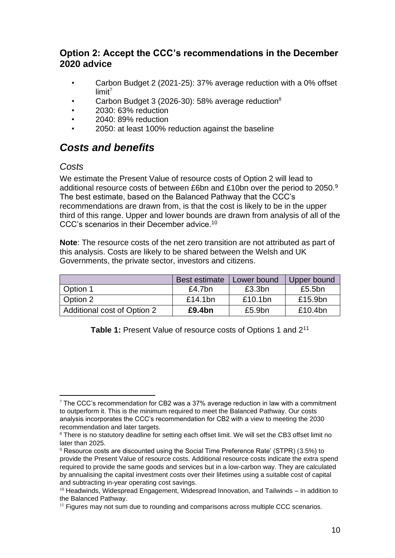## **Option 2: Accept the CCC's recommendations in the December 2020 advice**

- Carbon Budget 2 (2021-25): 37% average reduction with a 0% offset  $limit<sup>7</sup>$
- Carbon Budget 3 (2026-30): 58% average reduction $8$
- 2030: 63% reduction
- 2040: 89% reduction
- 2050: at least 100% reduction against the baseline

## <span id="page-9-0"></span>*Costs and benefits*

### *Costs*

We estimate the Present Value of resource costs of Option 2 will lead to additional resource costs of between £6bn and £10bn over the period to 2050.<sup>9</sup> The best estimate, based on the Balanced Pathway that the CCC's recommendations are drawn from, is that the cost is likely to be in the upper third of this range. Upper and lower bounds are drawn from analysis of all of the CCC's scenarios in their December advice.<sup>10</sup>

**Note**: The resource costs of the net zero transition are not attributed as part of this analysis. Costs are likely to be shared between the Welsh and UK Governments, the private sector, investors and citizens.

|                             | <b>Best estimate</b> | Lower bound | Upper bound |
|-----------------------------|----------------------|-------------|-------------|
| Option 1                    | £4.7 $bn$            | £3.3bn      | £5.5 $bn$   |
| Option 2                    | £14.1 $bn$           | £10.1bn     | £15.9bn     |
| Additional cost of Option 2 | £9.4bn               | £5.9bn      | £10.4bn     |

**Table 1:** Present Value of resource costs of Options 1 and 2<sup>11</sup>

 $7$  The CCC's recommendation for CB2 was a 37% average reduction in law with a commitment to outperform it. This is the minimum required to meet the Balanced Pathway. Our costs analysis incorporates the CCC's recommendation for CB2 with a view to meeting the 2030 recommendation and later targets.

<sup>&</sup>lt;sup>8</sup> There is no statutory deadline for setting each offset limit. We will set the CB3 offset limit no later than 2025.

<sup>9</sup> Resource costs are discounted using the Social Time Preference Rate' (STPR) (3.5%) to provide the Present Value of resource costs. Additional resource costs indicate the extra spend required to provide the same goods and services but in a low-carbon way. They are calculated by annualising the capital investment costs over their lifetimes using a suitable cost of capital and subtracting in-year operating cost savings.

<sup>&</sup>lt;sup>10</sup> Headwinds, Widespread Engagement, Widespread Innovation, and Tailwinds – in addition to the Balanced Pathway.

 $11$  Figures may not sum due to rounding and comparisons across multiple CCC scenarios.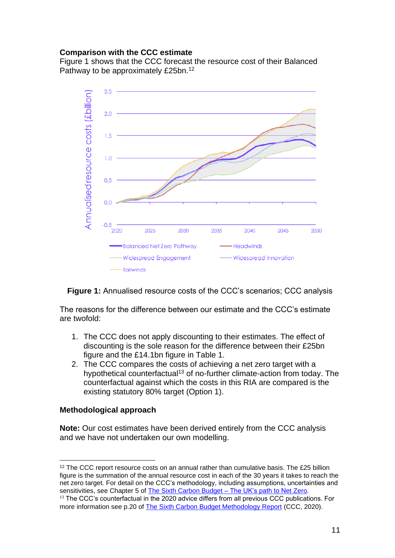#### **Comparison with the CCC estimate**

Figure 1 shows that the CCC forecast the resource cost of their Balanced Pathway to be approximately £25bn.<sup>12</sup>



**Figure 1:** Annualised resource costs of the CCC's scenarios; CCC analysis

The reasons for the difference between our estimate and the CCC's estimate are twofold:

- 1. The CCC does not apply discounting to their estimates. The effect of discounting is the sole reason for the difference between their £25bn figure and the £14.1bn figure in Table 1.
- 2. The CCC compares the costs of achieving a net zero target with a hypothetical counterfactual<sup>13</sup> of no-further climate-action from today. The counterfactual against which the costs in this RIA are compared is the existing statutory 80% target (Option 1).

#### **Methodological approach**

**Note:** Our cost estimates have been derived entirely from the CCC analysis and we have not undertaken our own modelling.

<sup>&</sup>lt;sup>12</sup> The CCC report resource costs on an annual rather than cumulative basis. The £25 billion figure is the summation of the annual resource cost in each of the 30 years it takes to reach the net zero target. For detail on the CCC's methodology, including assumptions, uncertainties and sensitivities, see Chapter 5 of The Sixth Carbon Budget - The UK's path to Net Zero.

<sup>&</sup>lt;sup>13</sup> The CCC's counterfactual in the 2020 advice differs from all previous CCC publications. For more information see p.20 of [The Sixth Carbon Budget Methodology Report](https://www.theccc.org.uk/wp-content/uploads/2020/12/The-Sixth-Carbon-Budget-Methodology-Report.pdf) (CCC, 2020).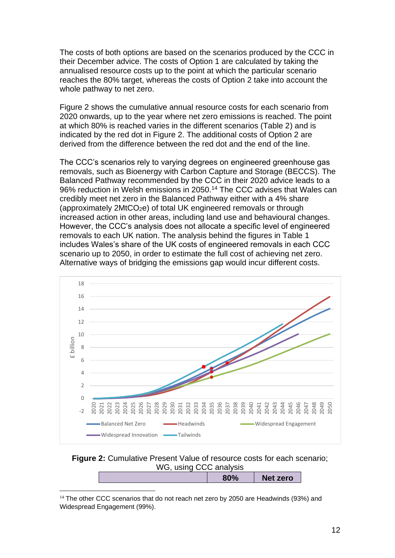The costs of both options are based on the scenarios produced by the CCC in their December advice. The costs of Option 1 are calculated by taking the annualised resource costs up to the point at which the particular scenario reaches the 80% target, whereas the costs of Option 2 take into account the whole pathway to net zero.

Figure 2 shows the cumulative annual resource costs for each scenario from 2020 onwards, up to the year where net zero emissions is reached. The point at which 80% is reached varies in the different scenarios (Table 2) and is indicated by the red dot in Figure 2. The additional costs of Option 2 are derived from the difference between the red dot and the end of the line.

The CCC's scenarios rely to varying degrees on engineered greenhouse gas removals, such as Bioenergy with Carbon Capture and Storage (BECCS). The Balanced Pathway recommended by the CCC in their 2020 advice leads to a 96% reduction in Welsh emissions in 2050.<sup>14</sup> The CCC advises that Wales can credibly meet net zero in the Balanced Pathway either with a 4% share (approximately 2MtCO2e) of total UK engineered removals or through increased action in other areas, including land use and behavioural changes. However, the CCC's analysis does not allocate a specific level of engineered removals to each UK nation. The analysis behind the figures in Table 1 includes Wales's share of the UK costs of engineered removals in each CCC scenario up to 2050, in order to estimate the full cost of achieving net zero. Alternative ways of bridging the emissions gap would incur different costs.



#### **Figure 2:** Cumulative Present Value of resource costs for each scenario; WG, using CCC analysis

 $14$  The other CCC scenarios that do not reach net zero by 2050 are Headwinds (93%) and Widespread Engagement (99%).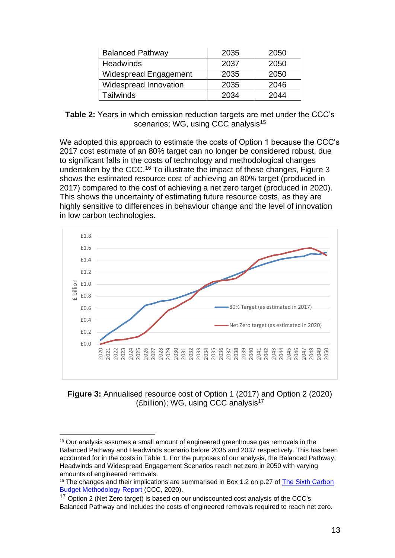| <b>Balanced Pathway</b>      | 2035 | 2050 |
|------------------------------|------|------|
| <b>Headwinds</b>             | 2037 | 2050 |
| <b>Widespread Engagement</b> | 2035 | 2050 |
| Widespread Innovation        | 2035 | 2046 |
| Tailwinds                    | 2034 | 2044 |

**Table 2:** Years in which emission reduction targets are met under the CCC's scenarios; WG, using CCC analysis<sup>15</sup>

We adopted this approach to estimate the costs of Option 1 because the CCC's 2017 cost estimate of an 80% target can no longer be considered robust, due to significant falls in the costs of technology and methodological changes undertaken by the CCC.<sup>16</sup> To illustrate the impact of these changes, Figure 3 shows the estimated resource cost of achieving an 80% target (produced in 2017) compared to the cost of achieving a net zero target (produced in 2020). This shows the uncertainty of estimating future resource costs, as they are highly sensitive to differences in behaviour change and the level of innovation in low carbon technologies.



**Figure 3:** Annualised resource cost of Option 1 (2017) and Option 2 (2020) (£billion); WG, using CCC analysis<sup>17</sup>

<sup>&</sup>lt;sup>15</sup> Our analysis assumes a small amount of engineered greenhouse gas removals in the Balanced Pathway and Headwinds scenario before 2035 and 2037 respectively. This has been accounted for in the costs in Table 1. For the purposes of our analysis, the Balanced Pathway, Headwinds and Widespread Engagement Scenarios reach net zero in 2050 with varying amounts of engineered removals.

<sup>&</sup>lt;sup>16</sup> The changes and their implications are summarised in Box 1.2 on p.27 of The Sixth Carbon [Budget Methodology Report](https://www.theccc.org.uk/wp-content/uploads/2020/12/The-Sixth-Carbon-Budget-Methodology-Report.pdf) (CCC, 2020).

 $17$  Option 2 (Net Zero target) is based on our undiscounted cost analysis of the CCC's Balanced Pathway and includes the costs of engineered removals required to reach net zero.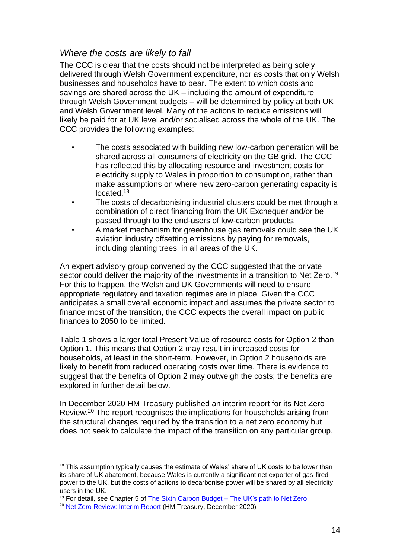### *Where the costs are likely to fall*

The CCC is clear that the costs should not be interpreted as being solely delivered through Welsh Government expenditure, nor as costs that only Welsh businesses and households have to bear. The extent to which costs and savings are shared across the UK – including the amount of expenditure through Welsh Government budgets – will be determined by policy at both UK and Welsh Government level. Many of the actions to reduce emissions will likely be paid for at UK level and/or socialised across the whole of the UK. The CCC provides the following examples:

- The costs associated with building new low-carbon generation will be shared across all consumers of electricity on the GB grid. The CCC has reflected this by allocating resource and investment costs for electricity supply to Wales in proportion to consumption, rather than make assumptions on where new zero-carbon generating capacity is located.<sup>18</sup>
- The costs of decarbonising industrial clusters could be met through a combination of direct financing from the UK Exchequer and/or be passed through to the end-users of low-carbon products.
- A market mechanism for greenhouse gas removals could see the UK aviation industry offsetting emissions by paying for removals, including planting trees, in all areas of the UK.

An expert advisory group convened by the CCC suggested that the private sector could deliver the majority of the investments in a transition to Net Zero.<sup>19</sup> For this to happen, the Welsh and UK Governments will need to ensure appropriate regulatory and taxation regimes are in place. Given the CCC anticipates a small overall economic impact and assumes the private sector to finance most of the transition, the CCC expects the overall impact on public finances to 2050 to be limited.

Table 1 shows a larger total Present Value of resource costs for Option 2 than Option 1. This means that Option 2 may result in increased costs for households, at least in the short-term. However, in Option 2 households are likely to benefit from reduced operating costs over time. There is evidence to suggest that the benefits of Option 2 may outweigh the costs; the benefits are explored in further detail below.

In December 2020 HM Treasury published an interim report for its Net Zero Review.<sup>20</sup> The report recognises the implications for households arising from the structural changes required by the transition to a net zero economy but does not seek to calculate the impact of the transition on any particular group.

 $18$  This assumption typically causes the estimate of Wales' share of UK costs to be lower than its share of UK abatement, because Wales is currently a significant net exporter of gas-fired power to the UK, but the costs of actions to decarbonise power will be shared by all electricity users in the UK.

 $19$  For detail, see Chapter 5 of [The Sixth Carbon Budget –](https://www.theccc.org.uk/wp-content/uploads/2020/12/The-Sixth-Carbon-Budget-The-UKs-path-to-Net-Zero.pdf) The UK's path to Net Zero.

<sup>20</sup> [Net Zero Review: Interim Report](https://assets.publishing.service.gov.uk/government/uploads/system/uploads/attachment_data/file/945827/Net_Zero_Review_interim_report.pdf) (HM Treasury, December 2020)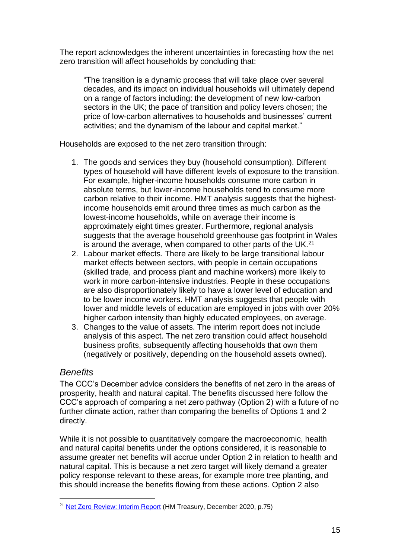The report acknowledges the inherent uncertainties in forecasting how the net zero transition will affect households by concluding that:

"The transition is a dynamic process that will take place over several decades, and its impact on individual households will ultimately depend on a range of factors including: the development of new low-carbon sectors in the UK; the pace of transition and policy levers chosen; the price of low-carbon alternatives to households and businesses' current activities; and the dynamism of the labour and capital market."

Households are exposed to the net zero transition through:

- 1. The goods and services they buy (household consumption). Different types of household will have different levels of exposure to the transition. For example, higher-income households consume more carbon in absolute terms, but lower-income households tend to consume more carbon relative to their income. HMT analysis suggests that the highestincome households emit around three times as much carbon as the lowest-income households, while on average their income is approximately eight times greater. Furthermore, regional analysis suggests that the average household greenhouse gas footprint in Wales is around the average, when compared to other parts of the UK.<sup>21</sup>
- 2. Labour market effects. There are likely to be large transitional labour market effects between sectors, with people in certain occupations (skilled trade, and process plant and machine workers) more likely to work in more carbon-intensive industries. People in these occupations are also disproportionately likely to have a lower level of education and to be lower income workers. HMT analysis suggests that people with lower and middle levels of education are employed in jobs with over 20% higher carbon intensity than highly educated employees, on average.
- 3. Changes to the value of assets. The interim report does not include analysis of this aspect. The net zero transition could affect household business profits, subsequently affecting households that own them (negatively or positively, depending on the household assets owned).

## *Benefits*

The CCC's December advice considers the benefits of net zero in the areas of prosperity, health and natural capital. The benefits discussed here follow the CCC's approach of comparing a net zero pathway (Option 2) with a future of no further climate action, rather than comparing the benefits of Options 1 and 2 directly.

While it is not possible to quantitatively compare the macroeconomic, health and natural capital benefits under the options considered, it is reasonable to assume greater net benefits will accrue under Option 2 in relation to health and natural capital. This is because a net zero target will likely demand a greater policy response relevant to these areas, for example more tree planting, and this should increase the benefits flowing from these actions. Option 2 also

<sup>&</sup>lt;sup>21</sup> [Net Zero Review: Interim Report](https://assets.publishing.service.gov.uk/government/uploads/system/uploads/attachment_data/file/945827/Net_Zero_Review_interim_report.pdf) (HM Treasury, December 2020, p.75)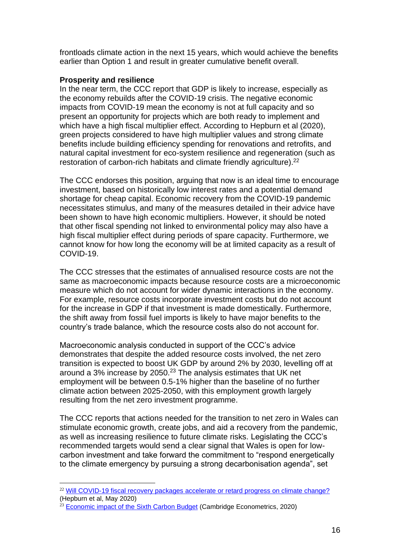frontloads climate action in the next 15 years, which would achieve the benefits earlier than Option 1 and result in greater cumulative benefit overall.

#### **Prosperity and resilience**

In the near term, the CCC report that GDP is likely to increase, especially as the economy rebuilds after the COVID-19 crisis. The negative economic impacts from COVID-19 mean the economy is not at full capacity and so present an opportunity for projects which are both ready to implement and which have a high fiscal multiplier effect. According to Hepburn et al (2020), green projects considered to have high multiplier values and strong climate benefits include building efficiency spending for renovations and retrofits, and natural capital investment for eco-system resilience and regeneration (such as restoration of carbon-rich habitats and climate friendly agriculture).<sup>22</sup>

The CCC endorses this position, arguing that now is an ideal time to encourage investment, based on historically low interest rates and a potential demand shortage for cheap capital. Economic recovery from the COVID-19 pandemic necessitates stimulus, and many of the measures detailed in their advice have been shown to have high economic multipliers. However, it should be noted that other fiscal spending not linked to environmental policy may also have a high fiscal multiplier effect during periods of spare capacity. Furthermore, we cannot know for how long the economy will be at limited capacity as a result of COVID-19.

The CCC stresses that the estimates of annualised resource costs are not the same as macroeconomic impacts because resource costs are a microeconomic measure which do not account for wider dynamic interactions in the economy. For example, resource costs incorporate investment costs but do not account for the increase in GDP if that investment is made domestically. Furthermore, the shift away from fossil fuel imports is likely to have major benefits to the country's trade balance, which the resource costs also do not account for.

Macroeconomic analysis conducted in support of the CCC's advice demonstrates that despite the added resource costs involved, the net zero transition is expected to boost UK GDP by around 2% by 2030, levelling off at around a 3% increase by 2050.<sup>23</sup> The analysis estimates that UK net employment will be between 0.5-1% higher than the baseline of no further climate action between 2025-2050, with this employment growth largely resulting from the net zero investment programme.

The CCC reports that actions needed for the transition to net zero in Wales can stimulate economic growth, create jobs, and aid a recovery from the pandemic, as well as increasing resilience to future climate risks. Legislating the CCC's recommended targets would send a clear signal that Wales is open for lowcarbon investment and take forward the commitment to "respond energetically to the climate emergency by pursuing a strong decarbonisation agenda", set

<sup>&</sup>lt;sup>22</sup> [Will COVID-19 fiscal recovery packages accelerate or retard progress on climate change?](https://academic.oup.com/oxrep/article/36/Supplement_1/S359/5832003) (Hepburn et al, May 2020)

 $23$  [Economic impact of the Sixth Carbon Budget](https://www.theccc.org.uk/publication/economic-impact-of-the-sixth-carbon-budget-cambridge-econometrics/) (Cambridge Econometrics, 2020)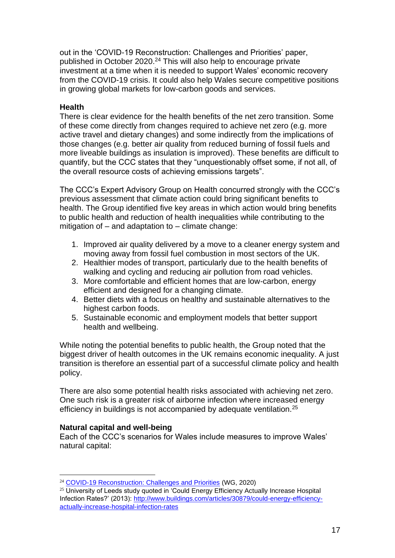out in the 'COVID-19 Reconstruction: Challenges and Priorities' paper, published in October 2020.<sup>24</sup> This will also help to encourage private investment at a time when it is needed to support Wales' economic recovery from the COVID-19 crisis. It could also help Wales secure competitive positions in growing global markets for low-carbon goods and services.

#### **Health**

There is clear evidence for the health benefits of the net zero transition. Some of these come directly from changes required to achieve net zero (e.g. more active travel and dietary changes) and some indirectly from the implications of those changes (e.g. better air quality from reduced burning of fossil fuels and more liveable buildings as insulation is improved). These benefits are difficult to quantify, but the CCC states that they "unquestionably offset some, if not all, of the overall resource costs of achieving emissions targets".

The CCC's Expert Advisory Group on Health concurred strongly with the CCC's previous assessment that climate action could bring significant benefits to health. The Group identified five key areas in which action would bring benefits to public health and reduction of health inequalities while contributing to the mitigation of – and adaptation to – climate change:

- 1. Improved air quality delivered by a move to a cleaner energy system and moving away from fossil fuel combustion in most sectors of the UK.
- 2. Healthier modes of transport, particularly due to the health benefits of walking and cycling and reducing air pollution from road vehicles.
- 3. More comfortable and efficient homes that are low-carbon, energy efficient and designed for a changing climate.
- 4. Better diets with a focus on healthy and sustainable alternatives to the highest carbon foods.
- 5. Sustainable economic and employment models that better support health and wellbeing.

While noting the potential benefits to public health, the Group noted that the biggest driver of health outcomes in the UK remains economic inequality. A just transition is therefore an essential part of a successful climate policy and health policy.

There are also some potential health risks associated with achieving net zero. One such risk is a greater risk of airborne infection where increased energy efficiency in buildings is not accompanied by adequate ventilation.<sup>25</sup>

#### **Natural capital and well-being**

Each of the CCC's scenarios for Wales include measures to improve Wales' natural capital:

<sup>24</sup> [COVID-19 Reconstruction: Challenges and Priorities](https://gov.wales/sites/default/files/publications/2020-10/coronavirus-reconstruction-challenges-and-priorities.pdf) (WG, 2020)

<sup>&</sup>lt;sup>25</sup> University of Leeds study quoted in 'Could Energy Efficiency Actually Increase Hospital Infection Rates?' (2013): [http://www.buildings.com/articles/30879/could-energy-efficiency](http://www.buildings.com/articles/30879/could-energy-efficiency-actually-increase-hospital-infection-rates)[actually-increase-hospital-infection-rates](http://www.buildings.com/articles/30879/could-energy-efficiency-actually-increase-hospital-infection-rates)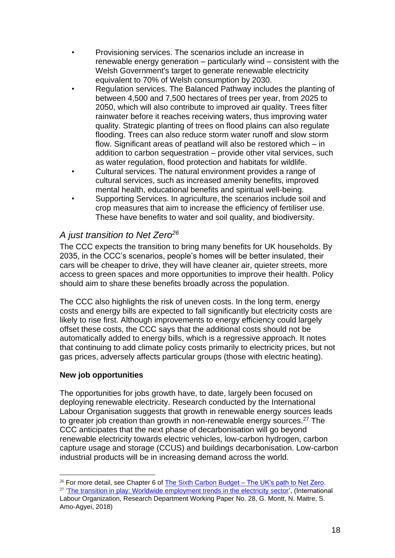- Provisioning services. The scenarios include an increase in renewable energy generation – particularly wind – consistent with the Welsh Government's target to generate renewable electricity equivalent to 70% of Welsh consumption by 2030.
- Regulation services. The Balanced Pathway includes the planting of between 4,500 and 7,500 hectares of trees per year, from 2025 to 2050, which will also contribute to improved air quality. Trees filter rainwater before it reaches receiving waters, thus improving water quality. Strategic planting of trees on flood plains can also regulate flooding. Trees can also reduce storm water runoff and slow storm flow. Significant areas of peatland will also be restored which – in addition to carbon sequestration – provide other vital services, such as water regulation, flood protection and habitats for wildlife.
- Cultural services. The natural environment provides a range of cultural services, such as increased amenity benefits, improved mental health, educational benefits and spiritual well-being.
- Supporting Services. In agriculture, the scenarios include soil and crop measures that aim to increase the efficiency of fertiliser use. These have benefits to water and soil quality, and biodiversity.

## *A just transition to Net Zero<sup>26</sup>*

The CCC expects the transition to bring many benefits for UK households. By 2035, in the CCC's scenarios, people's homes will be better insulated, their cars will be cheaper to drive, they will have cleaner air, quieter streets, more access to green spaces and more opportunities to improve their health. Policy should aim to share these benefits broadly across the population.

The CCC also highlights the risk of uneven costs. In the long term, energy costs and energy bills are expected to fall significantly but electricity costs are likely to rise first. Although improvements to energy efficiency could largely offset these costs, the CCC says that the additional costs should not be automatically added to energy bills, which is a regressive approach. It notes that continuing to add climate policy costs primarily to electricity prices, but not gas prices, adversely affects particular groups (those with electric heating).

#### **New job opportunities**

The opportunities for jobs growth have, to date, largely been focused on deploying renewable electricity. Research conducted by the International Labour Organisation suggests that growth in renewable energy sources leads to greater job creation than growth in non-renewable energy sources.<sup>27</sup> The CCC anticipates that the next phase of decarbonisation will go beyond renewable electricity towards electric vehicles, low-carbon hydrogen, carbon capture usage and storage (CCUS) and buildings decarbonisation. Low-carbon industrial products will be in increasing demand across the world.

 $26$  For more detail, see Chapter 6 of [The Sixth Carbon Budget –](https://www.theccc.org.uk/wp-content/uploads/2020/12/The-Sixth-Carbon-Budget-The-UKs-path-to-Net-Zero.pdf) The UK's path to Net Zero. <sup>27</sup> ['The transition in play: Worldwide employment trends in the electricity sector',](https://labordoc.ilo.org/discovery/fulldisplay/alma994987492402676/41ILO_INST:41ILO_V1) (International Labour Organization, Research Department Working Paper No. 28, G. Montt, N. Maitre, S. Amo-Agyei, 2018)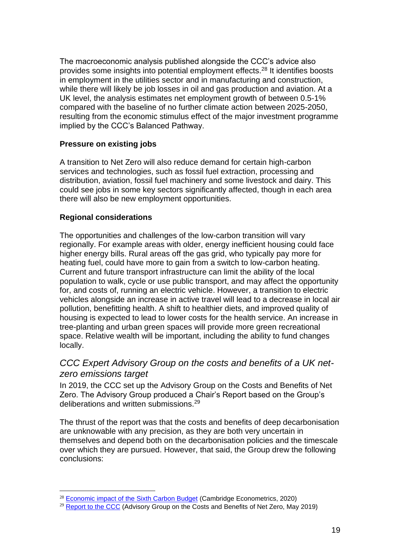The macroeconomic analysis published alongside the CCC's advice also provides some insights into potential employment effects.<sup>28</sup> It identifies boosts in employment in the utilities sector and in manufacturing and construction, while there will likely be job losses in oil and gas production and aviation. At a UK level, the analysis estimates net employment growth of between 0.5-1% compared with the baseline of no further climate action between 2025-2050, resulting from the economic stimulus effect of the major investment programme implied by the CCC's Balanced Pathway.

#### **Pressure on existing jobs**

A transition to Net Zero will also reduce demand for certain high-carbon services and technologies, such as fossil fuel extraction, processing and distribution, aviation, fossil fuel machinery and some livestock and dairy. This could see jobs in some key sectors significantly affected, though in each area there will also be new employment opportunities.

#### **Regional considerations**

The opportunities and challenges of the low-carbon transition will vary regionally. For example areas with older, energy inefficient housing could face higher energy bills. Rural areas off the gas grid, who typically pay more for heating fuel, could have more to gain from a switch to low-carbon heating. Current and future transport infrastructure can limit the ability of the local population to walk, cycle or use public transport, and may affect the opportunity for, and costs of, running an electric vehicle. However, a transition to electric vehicles alongside an increase in active travel will lead to a decrease in local air pollution, benefitting health. A shift to healthier diets, and improved quality of housing is expected to lead to lower costs for the health service. An increase in tree-planting and urban green spaces will provide more green recreational space. Relative wealth will be important, including the ability to fund changes locally.

## *CCC Expert Advisory Group on the costs and benefits of a UK netzero emissions target*

In 2019, the CCC set up the Advisory Group on the Costs and Benefits of Net Zero. The Advisory Group produced a Chair's Report based on the Group's deliberations and written submissions.<sup>29</sup>

The thrust of the report was that the costs and benefits of deep decarbonisation are unknowable with any precision, as they are both very uncertain in themselves and depend both on the decarbonisation policies and the timescale over which they are pursued. However, that said, the Group drew the following conclusions:

<sup>&</sup>lt;sup>28</sup> [Economic impact of the Sixth Carbon Budget](https://www.theccc.org.uk/publication/economic-impact-of-the-sixth-carbon-budget-cambridge-econometrics/) (Cambridge Econometrics, 2020)

<sup>&</sup>lt;sup>29</sup> [Report to the CCC](https://www.theccc.org.uk/wp-content/uploads/2019/05/Advisory-Group-on-Costs-and-Benefits-of-Net-Zero.pdf) (Advisory Group on the Costs and Benefits of Net Zero, May 2019)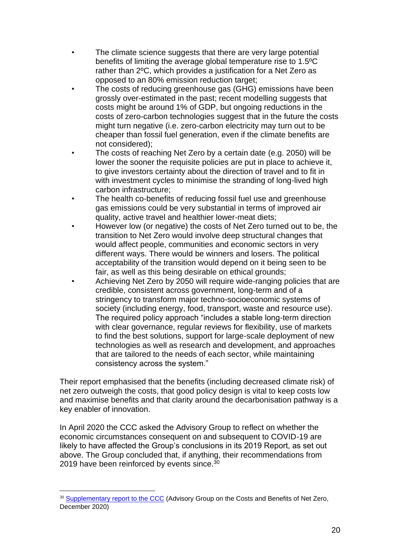- The climate science suggests that there are very large potential benefits of limiting the average global temperature rise to 1.5ºC rather than 2ºC, which provides a justification for a Net Zero as opposed to an 80% emission reduction target;
- The costs of reducing greenhouse gas (GHG) emissions have been grossly over-estimated in the past; recent modelling suggests that costs might be around 1% of GDP, but ongoing reductions in the costs of zero-carbon technologies suggest that in the future the costs might turn negative (i.e. zero-carbon electricity may turn out to be cheaper than fossil fuel generation, even if the climate benefits are not considered);
- The costs of reaching Net Zero by a certain date (e.g. 2050) will be lower the sooner the requisite policies are put in place to achieve it, to give investors certainty about the direction of travel and to fit in with investment cycles to minimise the stranding of long-lived high carbon infrastructure;
- The health co-benefits of reducing fossil fuel use and greenhouse gas emissions could be very substantial in terms of improved air quality, active travel and healthier lower-meat diets;
- However low (or negative) the costs of Net Zero turned out to be, the transition to Net Zero would involve deep structural changes that would affect people, communities and economic sectors in very different ways. There would be winners and losers. The political acceptability of the transition would depend on it being seen to be fair, as well as this being desirable on ethical grounds;
- Achieving Net Zero by 2050 will require wide-ranging policies that are credible, consistent across government, long-term and of a stringency to transform major techno-socioeconomic systems of society (including energy, food, transport, waste and resource use). The required policy approach "includes a stable long-term direction with clear governance, regular reviews for flexibility, use of markets to find the best solutions, support for large-scale deployment of new technologies as well as research and development, and approaches that are tailored to the needs of each sector, while maintaining consistency across the system."

Their report emphasised that the benefits (including decreased climate risk) of net zero outweigh the costs, that good policy design is vital to keep costs low and maximise benefits and that clarity around the decarbonisation pathway is a key enabler of innovation.

In April 2020 the CCC asked the Advisory Group to reflect on whether the economic circumstances consequent on and subsequent to COVID-19 are likely to have affected the Group's conclusions in its 2019 Report, as set out above. The Group concluded that, if anything, their recommendations from 2019 have been reinforced by events since.<sup>30</sup>

<sup>&</sup>lt;sup>30</sup> [Supplementary report to the CCC](https://www.theccc.org.uk/wp-content/uploads/2020/06/Supplementary-Report-Advisory-Group-on-Costs-and-Benefits-1.pdf) (Advisory Group on the Costs and Benefits of Net Zero, December 2020)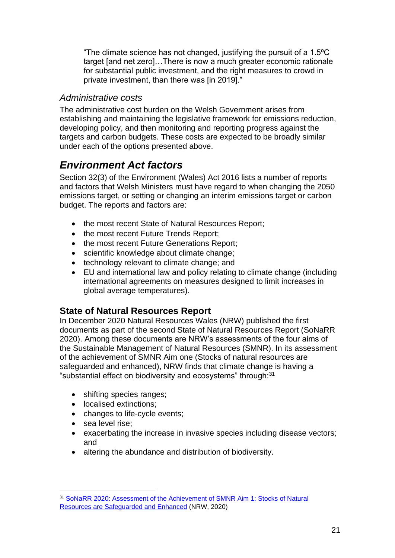"The climate science has not changed, justifying the pursuit of a 1.5ºC target [and net zero]…There is now a much greater economic rationale for substantial public investment, and the right measures to crowd in private investment, than there was [in 2019]."

## *Administrative costs*

The administrative cost burden on the Welsh Government arises from establishing and maintaining the legislative framework for emissions reduction, developing policy, and then monitoring and reporting progress against the targets and carbon budgets. These costs are expected to be broadly similar under each of the options presented above.

## <span id="page-20-0"></span>*Environment Act factors*

Section 32(3) of the Environment (Wales) Act 2016 lists a number of reports and factors that Welsh Ministers must have regard to when changing the 2050 emissions target, or setting or changing an interim emissions target or carbon budget. The reports and factors are:

- the most recent State of Natural Resources Report;
- the most recent Future Trends Report;
- the most recent Future Generations Report:
- scientific knowledge about climate change:
- technology relevant to climate change; and
- EU and international law and policy relating to climate change (including international agreements on measures designed to limit increases in global average temperatures).

## **State of Natural Resources Report**

In December 2020 Natural Resources Wales (NRW) published the first documents as part of the second State of Natural Resources Report (SoNaRR 2020). Among these documents are NRW's assessments of the four aims of the Sustainable Management of Natural Resources (SMNR). In its assessment of the achievement of SMNR Aim one (Stocks of natural resources are safeguarded and enhanced), NRW finds that climate change is having a "substantial effect on biodiversity and ecosystems" through: $31$ 

- shifting species ranges;
- localised extinctions;
- changes to life-cycle events;
- sea level rise;
- exacerbating the increase in invasive species including disease vectors; and
- altering the abundance and distribution of biodiversity.

<sup>31</sup> [SoNaRR 2020: Assessment of the Achievement of SMNR Aim 1: Stocks of Natural](https://cdn.cyfoethnaturiol.cymru/media/692923/sonarr2020-aim-1-assessment.pdf)  [Resources are Safeguarded and Enhanced](https://cdn.cyfoethnaturiol.cymru/media/692923/sonarr2020-aim-1-assessment.pdf) (NRW, 2020)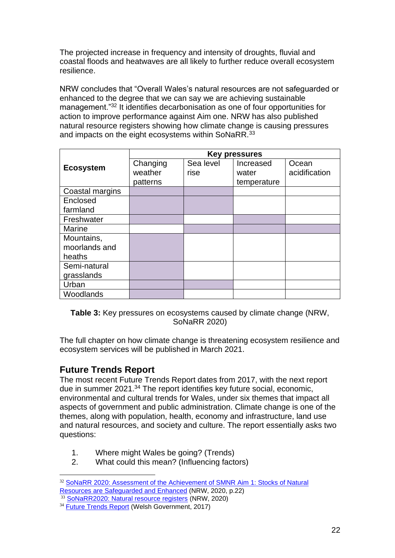The projected increase in frequency and intensity of droughts, fluvial and coastal floods and heatwaves are all likely to further reduce overall ecosystem resilience.

NRW concludes that "Overall Wales's natural resources are not safeguarded or enhanced to the degree that we can say we are achieving sustainable management."<sup>32</sup> It identifies decarbonisation as one of four opportunities for action to improve performance against Aim one. NRW has also published natural resource registers showing how climate change is causing pressures and impacts on the eight ecosystems within SoNaRR.<sup>33</sup>

|                  | Key pressures |           |             |               |
|------------------|---------------|-----------|-------------|---------------|
|                  | Changing      | Sea level | Increased   | Ocean         |
| <b>Ecosystem</b> | weather       | rise      | water       | acidification |
|                  | patterns      |           | temperature |               |
| Coastal margins  |               |           |             |               |
| Enclosed         |               |           |             |               |
| farmland         |               |           |             |               |
| Freshwater       |               |           |             |               |
| <b>Marine</b>    |               |           |             |               |
| Mountains,       |               |           |             |               |
| moorlands and    |               |           |             |               |
| heaths           |               |           |             |               |
| Semi-natural     |               |           |             |               |
| grasslands       |               |           |             |               |
| Urban            |               |           |             |               |
| Woodlands        |               |           |             |               |

**Table 3:** Key pressures on ecosystems caused by climate change (NRW, SoNaRR 2020)

The full chapter on how climate change is threatening ecosystem resilience and ecosystem services will be published in March 2021.

## **Future Trends Report**

The most recent Future Trends Report dates from 2017, with the next report due in summer 2021.<sup>34</sup> The report identifies key future social, economic, environmental and cultural trends for Wales, under six themes that impact all aspects of government and public administration. Climate change is one of the themes, along with population, health, economy and infrastructure, land use and natural resources, and society and culture. The report essentially asks two questions:

- 1. Where might Wales be going? (Trends)
- 2. What could this mean? (Influencing factors)

<sup>32</sup> [SoNaRR 2020: Assessment of the Achievement of SMNR Aim 1: Stocks of Natural](https://cdn.cyfoethnaturiol.cymru/media/692923/sonarr2020-aim-1-assessment.pdf)  [Resources are Safeguarded and Enhanced](https://cdn.cyfoethnaturiol.cymru/media/692923/sonarr2020-aim-1-assessment.pdf) (NRW, 2020, p.22)

<sup>&</sup>lt;sup>33</sup> [SoNaRR2020: Natural resource registers](https://naturalresources.wales/evidence-and-data/research-and-reports/state-of-natural-resources-report-sonarr-for-wales-2020/sonarr2020-our-assessment/sonarr-2020-natural-resources-registers) (NRW, 2020)

<sup>&</sup>lt;sup>34</sup> [Future Trends Report](https://gov.wales/sites/default/files/statistics-and-research/2018-12/170505-future-trends-report-2017-en.pdf) (Welsh Government, 2017)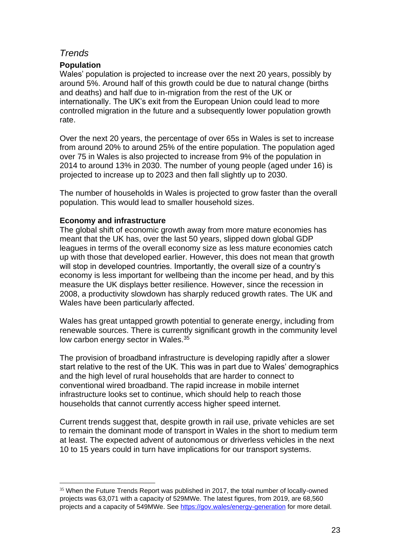## *Trends*

#### **Population**

Wales' population is projected to increase over the next 20 years, possibly by around 5%. Around half of this growth could be due to natural change (births and deaths) and half due to in-migration from the rest of the UK or internationally. The UK's exit from the European Union could lead to more controlled migration in the future and a subsequently lower population growth rate.

Over the next 20 years, the percentage of over 65s in Wales is set to increase from around 20% to around 25% of the entire population. The population aged over 75 in Wales is also projected to increase from 9% of the population in 2014 to around 13% in 2030. The number of young people (aged under 16) is projected to increase up to 2023 and then fall slightly up to 2030.

The number of households in Wales is projected to grow faster than the overall population. This would lead to smaller household sizes.

#### **Economy and infrastructure**

The global shift of economic growth away from more mature economies has meant that the UK has, over the last 50 years, slipped down global GDP leagues in terms of the overall economy size as less mature economies catch up with those that developed earlier. However, this does not mean that growth will stop in developed countries. Importantly, the overall size of a country's economy is less important for wellbeing than the income per head, and by this measure the UK displays better resilience. However, since the recession in 2008, a productivity slowdown has sharply reduced growth rates. The UK and Wales have been particularly affected.

Wales has great untapped growth potential to generate energy, including from renewable sources. There is currently significant growth in the community level low carbon energy sector in Wales.<sup>35</sup>

The provision of broadband infrastructure is developing rapidly after a slower start relative to the rest of the UK. This was in part due to Wales' demographics and the high level of rural households that are harder to connect to conventional wired broadband. The rapid increase in mobile internet infrastructure looks set to continue, which should help to reach those households that cannot currently access higher speed internet.

Current trends suggest that, despite growth in rail use, private vehicles are set to remain the dominant mode of transport in Wales in the short to medium term at least. The expected advent of autonomous or driverless vehicles in the next 10 to 15 years could in turn have implications for our transport systems.

<sup>&</sup>lt;sup>35</sup> When the Future Trends Report was published in 2017, the total number of locally-owned projects was 63,071 with a capacity of 529MWe. The latest figures, from 2019, are 68,560 projects and a capacity of 549MWe. See<https://gov.wales/energy-generation> for more detail.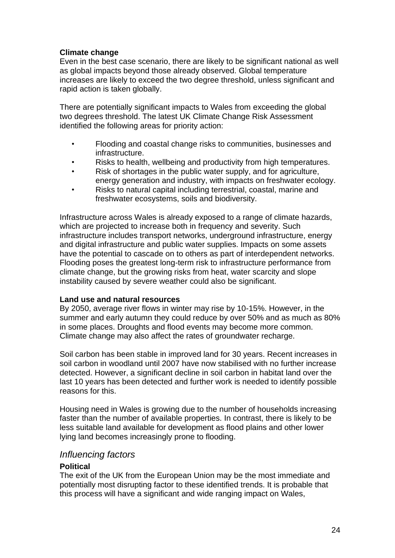#### **Climate change**

Even in the best case scenario, there are likely to be significant national as well as global impacts beyond those already observed. Global temperature increases are likely to exceed the two degree threshold, unless significant and rapid action is taken globally.

There are potentially significant impacts to Wales from exceeding the global two degrees threshold. The latest UK Climate Change Risk Assessment identified the following areas for priority action:

- Flooding and coastal change risks to communities, businesses and infrastructure.
- Risks to health, wellbeing and productivity from high temperatures.
- Risk of shortages in the public water supply, and for agriculture, energy generation and industry, with impacts on freshwater ecology.
- Risks to natural capital including terrestrial, coastal, marine and freshwater ecosystems, soils and biodiversity.

Infrastructure across Wales is already exposed to a range of climate hazards, which are projected to increase both in frequency and severity. Such infrastructure includes transport networks, underground infrastructure, energy and digital infrastructure and public water supplies. Impacts on some assets have the potential to cascade on to others as part of interdependent networks. Flooding poses the greatest long-term risk to infrastructure performance from climate change, but the growing risks from heat, water scarcity and slope instability caused by severe weather could also be significant.

#### **Land use and natural resources**

By 2050, average river flows in winter may rise by 10-15%. However, in the summer and early autumn they could reduce by over 50% and as much as 80% in some places. Droughts and flood events may become more common. Climate change may also affect the rates of groundwater recharge.

Soil carbon has been stable in improved land for 30 years. Recent increases in soil carbon in woodland until 2007 have now stabilised with no further increase detected. However, a significant decline in soil carbon in habitat land over the last 10 years has been detected and further work is needed to identify possible reasons for this.

Housing need in Wales is growing due to the number of households increasing faster than the number of available properties. In contrast, there is likely to be less suitable land available for development as flood plains and other lower lying land becomes increasingly prone to flooding.

#### *Influencing factors*

#### **Political**

The exit of the UK from the European Union may be the most immediate and potentially most disrupting factor to these identified trends. It is probable that this process will have a significant and wide ranging impact on Wales,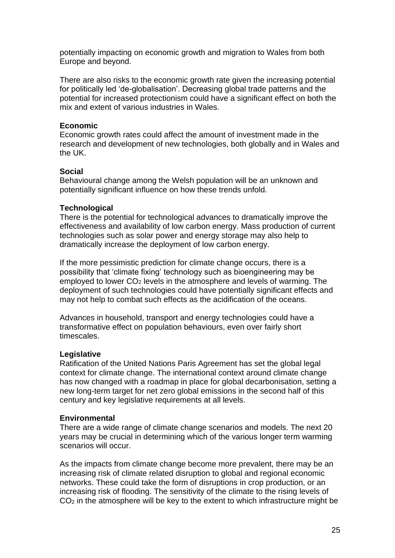potentially impacting on economic growth and migration to Wales from both Europe and beyond.

There are also risks to the economic growth rate given the increasing potential for politically led 'de-globalisation'. Decreasing global trade patterns and the potential for increased protectionism could have a significant effect on both the mix and extent of various industries in Wales.

#### **Economic**

Economic growth rates could affect the amount of investment made in the research and development of new technologies, both globally and in Wales and the UK.

#### **Social**

Behavioural change among the Welsh population will be an unknown and potentially significant influence on how these trends unfold.

#### **Technological**

There is the potential for technological advances to dramatically improve the effectiveness and availability of low carbon energy. Mass production of current technologies such as solar power and energy storage may also help to dramatically increase the deployment of low carbon energy.

If the more pessimistic prediction for climate change occurs, there is a possibility that 'climate fixing' technology such as bioengineering may be employed to lower CO<sup>2</sup> levels in the atmosphere and levels of warming. The deployment of such technologies could have potentially significant effects and may not help to combat such effects as the acidification of the oceans.

Advances in household, transport and energy technologies could have a transformative effect on population behaviours, even over fairly short timescales.

#### **Legislative**

Ratification of the United Nations Paris Agreement has set the global legal context for climate change. The international context around climate change has now changed with a roadmap in place for global decarbonisation, setting a new long-term target for net zero global emissions in the second half of this century and key legislative requirements at all levels.

#### **Environmental**

There are a wide range of climate change scenarios and models. The next 20 years may be crucial in determining which of the various longer term warming scenarios will occur.

As the impacts from climate change become more prevalent, there may be an increasing risk of climate related disruption to global and regional economic networks. These could take the form of disruptions in crop production, or an increasing risk of flooding. The sensitivity of the climate to the rising levels of  $CO<sub>2</sub>$  in the atmosphere will be key to the extent to which infrastructure might be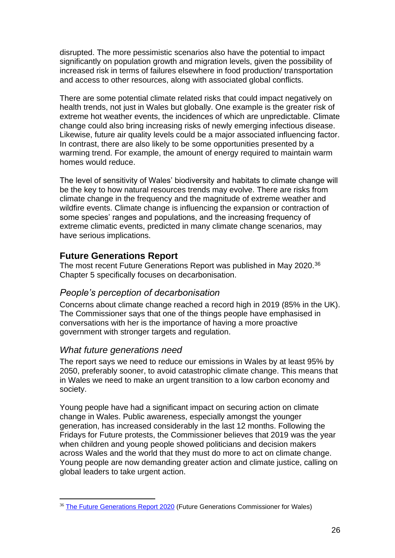disrupted. The more pessimistic scenarios also have the potential to impact significantly on population growth and migration levels, given the possibility of increased risk in terms of failures elsewhere in food production/ transportation and access to other resources, along with associated global conflicts.

There are some potential climate related risks that could impact negatively on health trends, not just in Wales but globally. One example is the greater risk of extreme hot weather events, the incidences of which are unpredictable. Climate change could also bring increasing risks of newly emerging infectious disease. Likewise, future air quality levels could be a major associated influencing factor. In contrast, there are also likely to be some opportunities presented by a warming trend. For example, the amount of energy required to maintain warm homes would reduce.

The level of sensitivity of Wales' biodiversity and habitats to climate change will be the key to how natural resources trends may evolve. There are risks from climate change in the frequency and the magnitude of extreme weather and wildfire events. Climate change is influencing the expansion or contraction of some species' ranges and populations, and the increasing frequency of extreme climatic events, predicted in many climate change scenarios, may have serious implications.

## **Future Generations Report**

The most recent Future Generations Report was published in May 2020.<sup>36</sup> Chapter 5 specifically focuses on decarbonisation.

## *People's perception of decarbonisation*

Concerns about climate change reached a record high in 2019 (85% in the UK). The Commissioner says that one of the things people have emphasised in conversations with her is the importance of having a more proactive government with stronger targets and regulation.

## *What future generations need*

The report says we need to reduce our emissions in Wales by at least 95% by 2050, preferably sooner, to avoid catastrophic climate change. This means that in Wales we need to make an urgent transition to a low carbon economy and society.

Young people have had a significant impact on securing action on climate change in Wales. Public awareness, especially amongst the younger generation, has increased considerably in the last 12 months. Following the Fridays for Future protests, the Commissioner believes that 2019 was the year when children and young people showed politicians and decision makers across Wales and the world that they must do more to act on climate change. Young people are now demanding greater action and climate justice, calling on global leaders to take urgent action.

<sup>&</sup>lt;sup>36</sup> [The Future Generations Report 2020](https://futuregenerations.wales/wp-content/uploads/2020/06/Chap-5-Decarb.pdf) (Future Generations Commissioner for Wales)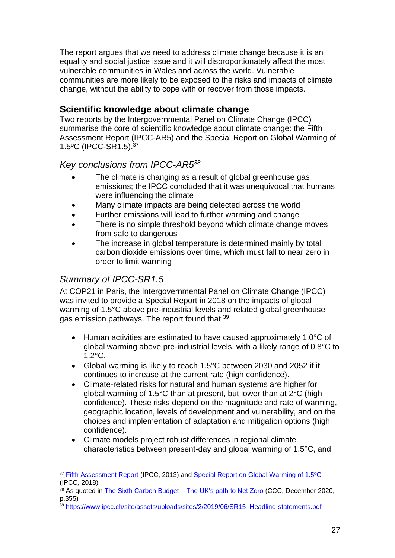The report argues that we need to address climate change because it is an equality and social justice issue and it will disproportionately affect the most vulnerable communities in Wales and across the world. Vulnerable communities are more likely to be exposed to the risks and impacts of climate change, without the ability to cope with or recover from those impacts.

## **Scientific knowledge about climate change**

Two reports by the Intergovernmental Panel on Climate Change (IPCC) summarise the core of scientific knowledge about climate change: the Fifth Assessment Report (IPCC-AR5) and the Special Report on Global Warming of 1.5ºC (IPCC-SR1.5).<sup>37</sup>

## *Key conclusions from IPCC-AR5<sup>38</sup>*

- The climate is changing as a result of global greenhouse gas emissions; the IPCC concluded that it was unequivocal that humans were influencing the climate
- Many climate impacts are being detected across the world
- Further emissions will lead to further warming and change
- There is no simple threshold beyond which climate change moves from safe to dangerous
- The increase in global temperature is determined mainly by total carbon dioxide emissions over time, which must fall to near zero in order to limit warming

## *Summary of IPCC-SR1.5*

At COP21 in Paris, the Intergovernmental Panel on Climate Change (IPCC) was invited to provide a Special Report in 2018 on the impacts of global warming of 1.5°C above pre-industrial levels and related global greenhouse gas emission pathways. The report found that:<sup>39</sup>

- Human activities are estimated to have caused approximately 1.0°C of global warming above pre-industrial levels, with a likely range of 0.8°C to 1.2°C.
- Global warming is likely to reach 1.5°C between 2030 and 2052 if it continues to increase at the current rate (high confidence).
- Climate-related risks for natural and human systems are higher for global warming of 1.5°C than at present, but lower than at 2°C (high confidence). These risks depend on the magnitude and rate of warming, geographic location, levels of development and vulnerability, and on the choices and implementation of adaptation and mitigation options (high confidence).
- Climate models project robust differences in regional climate characteristics between present-day and global warming of 1.5°C, and

<sup>&</sup>lt;sup>37</sup> [Fifth Assessment Report](https://www.ipcc.ch/assessment-report/ar5/) (IPCC, 2013) and Special Report on Global Warming of 1.5°C (IPCC, 2018)

 $38$  As quoted in [The Sixth Carbon Budget –](https://www.theccc.org.uk/wp-content/uploads/2020/12/The-Sixth-Carbon-Budget-The-UKs-path-to-Net-Zero.pdf) The UK's path to Net Zero (CCC, December 2020, p.355)

<sup>&</sup>lt;sup>39</sup> [https://www.ipcc.ch/site/assets/uploads/sites/2/2019/06/SR15\\_Headline-statements.pdf](https://www.ipcc.ch/site/assets/uploads/sites/2/2019/06/SR15_Headline-statements.pdf)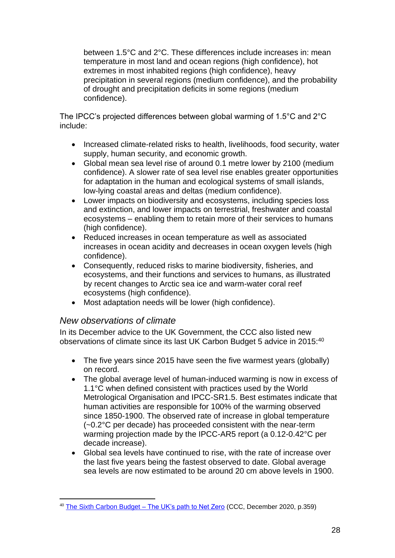between 1.5°C and 2°C. These differences include increases in: mean temperature in most land and ocean regions (high confidence), hot extremes in most inhabited regions (high confidence), heavy precipitation in several regions (medium confidence), and the probability of drought and precipitation deficits in some regions (medium confidence).

The IPCC's projected differences between global warming of 1.5°C and 2°C include:

- Increased climate-related risks to health, livelihoods, food security, water supply, human security, and economic growth.
- Global mean sea level rise of around 0.1 metre lower by 2100 (medium confidence). A slower rate of sea level rise enables greater opportunities for adaptation in the human and ecological systems of small islands, low-lying coastal areas and deltas (medium confidence).
- Lower impacts on biodiversity and ecosystems, including species loss and extinction, and lower impacts on terrestrial, freshwater and coastal ecosystems – enabling them to retain more of their services to humans (high confidence).
- Reduced increases in ocean temperature as well as associated increases in ocean acidity and decreases in ocean oxygen levels (high confidence).
- Consequently, reduced risks to marine biodiversity, fisheries, and ecosystems, and their functions and services to humans, as illustrated by recent changes to Arctic sea ice and warm-water coral reef ecosystems (high confidence).
- Most adaptation needs will be lower (high confidence).

#### *New observations of climate*

In its December advice to the UK Government, the CCC also listed new observations of climate since its last UK Carbon Budget 5 advice in 2015:<sup>40</sup>

- The five years since 2015 have seen the five warmest years (globally) on record.
- The global average level of human-induced warming is now in excess of 1.1°C when defined consistent with practices used by the World Metrological Organisation and IPCC-SR1.5. Best estimates indicate that human activities are responsible for 100% of the warming observed since 1850-1900. The observed rate of increase in global temperature (~0.2°C per decade) has proceeded consistent with the near-term warming projection made by the IPCC-AR5 report (a 0.12-0.42°C per decade increase).
- Global sea levels have continued to rise, with the rate of increase over the last five years being the fastest observed to date. Global average sea levels are now estimated to be around 20 cm above levels in 1900.

<sup>&</sup>lt;sup>40</sup> [The Sixth Carbon Budget –](https://www.theccc.org.uk/wp-content/uploads/2020/12/The-Sixth-Carbon-Budget-The-UKs-path-to-Net-Zero.pdf) The UK's path to Net Zero (CCC, December 2020, p.359)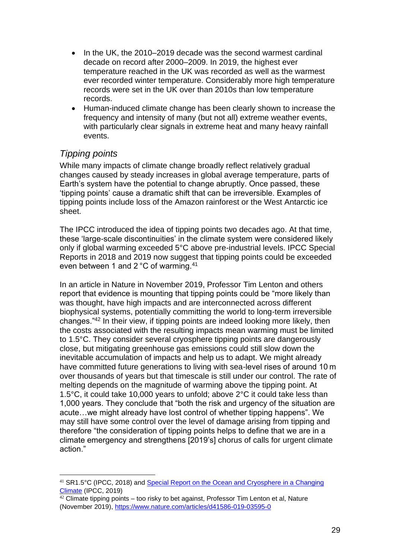- In the UK, the 2010–2019 decade was the second warmest cardinal decade on record after 2000–2009. In 2019, the highest ever temperature reached in the UK was recorded as well as the warmest ever recorded winter temperature. Considerably more high temperature records were set in the UK over than 2010s than low temperature records.
- Human-induced climate change has been clearly shown to increase the frequency and intensity of many (but not all) extreme weather events, with particularly clear signals in extreme heat and many heavy rainfall events.

## *Tipping points*

While many impacts of climate change broadly reflect relatively gradual changes caused by steady increases in global average temperature, parts of Earth's system have the potential to change abruptly. Once passed, these 'tipping points' cause a dramatic shift that can be irreversible. Examples of tipping points include loss of the Amazon rainforest or the West Antarctic ice sheet.

The IPCC introduced the idea of tipping points two decades ago. At that time, these 'large-scale discontinuities' in the climate system were considered likely only if global warming exceeded 5°C above pre-industrial levels. IPCC Special Reports in 2018 and 2019 now suggest that tipping points could be exceeded even between 1 and 2 °C of warming.<sup>41</sup>

In an article in Nature in November 2019, Professor Tim Lenton and others report that evidence is mounting that tipping points could be "more likely than was thought, have high impacts and are interconnected across different biophysical systems, potentially committing the world to long-term irreversible changes."<sup>42</sup> In their view, if tipping points are indeed looking more likely, then the costs associated with the resulting impacts mean warming must be limited to 1.5°C. They consider several cryosphere tipping points are dangerously close, but mitigating greenhouse gas emissions could still slow down the inevitable accumulation of impacts and help us to adapt. We might already have committed future generations to living with sea-level rises of around 10 m over thousands of years but that timescale is still under our control. The rate of melting depends on the magnitude of warming above the tipping point. At 1.5°C, it could take 10,000 years to unfold; above 2°C it could take less than 1,000 years. They conclude that "both the risk and urgency of the situation are acute…we might already have lost control of whether tipping happens". We may still have some control over the level of damage arising from tipping and therefore "the consideration of tipping points helps to define that we are in a climate emergency and strengthens [2019's] chorus of calls for urgent climate action."

<sup>41</sup> SR1.5°C (IPCC, 2018) and [Special Report on the Ocean and Cryosphere in a Changing](https://www.ipcc.ch/srocc/)  [Climate](https://www.ipcc.ch/srocc/) (IPCC, 2019)

 $42$  Climate tipping points – too risky to bet against, Professor Tim Lenton et al, Nature (November 2019),<https://www.nature.com/articles/d41586-019-03595-0>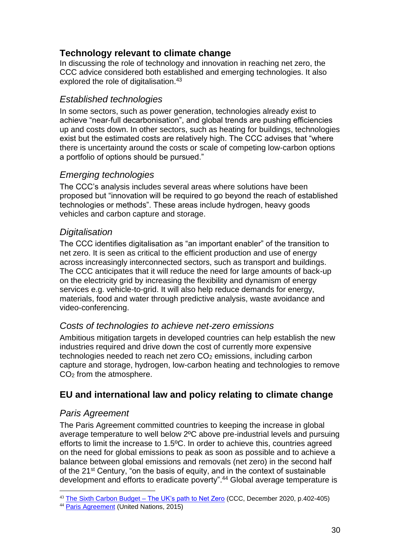## **Technology relevant to climate change**

In discussing the role of technology and innovation in reaching net zero, the CCC advice considered both established and emerging technologies. It also explored the role of digitalisation.<sup>43</sup>

## *Established technologies*

In some sectors, such as power generation, technologies already exist to achieve "near-full decarbonisation", and global trends are pushing efficiencies up and costs down. In other sectors, such as heating for buildings, technologies exist but the estimated costs are relatively high. The CCC advises that "where there is uncertainty around the costs or scale of competing low-carbon options a portfolio of options should be pursued."

## *Emerging technologies*

The CCC's analysis includes several areas where solutions have been proposed but "innovation will be required to go beyond the reach of established technologies or methods". These areas include hydrogen, heavy goods vehicles and carbon capture and storage.

## *Digitalisation*

The CCC identifies digitalisation as "an important enabler" of the transition to net zero. It is seen as critical to the efficient production and use of energy across increasingly interconnected sectors, such as transport and buildings. The CCC anticipates that it will reduce the need for large amounts of back-up on the electricity grid by increasing the flexibility and dynamism of energy services e.g. vehicle-to-grid. It will also help reduce demands for energy, materials, food and water through predictive analysis, waste avoidance and video-conferencing.

## *Costs of technologies to achieve net-zero emissions*

Ambitious mitigation targets in developed countries can help establish the new industries required and drive down the cost of currently more expensive technologies needed to reach net zero CO<sub>2</sub> emissions, including carbon capture and storage, hydrogen, low-carbon heating and technologies to remove CO<sup>2</sup> from the atmosphere.

## **EU and international law and policy relating to climate change**

## *Paris Agreement*

The Paris Agreement committed countries to keeping the increase in global average temperature to well below 2ºC above pre-industrial levels and pursuing efforts to limit the increase to 1.5ºC. In order to achieve this, countries agreed on the need for global emissions to peak as soon as possible and to achieve a balance between global emissions and removals (net zero) in the second half of the 21st Century, "on the basis of equity, and in the context of sustainable development and efforts to eradicate poverty".<sup>44</sup> Global average temperature is

<sup>43</sup> [The Sixth Carbon Budget –](https://www.theccc.org.uk/wp-content/uploads/2020/12/The-Sixth-Carbon-Budget-The-UKs-path-to-Net-Zero.pdf) The UK's path to Net Zero (CCC, December 2020, p.402-405)

<sup>44</sup> [Paris Agreement](https://unfccc.int/files/essential_background/convention/application/pdf/english_paris_agreement.pdf) (United Nations, 2015)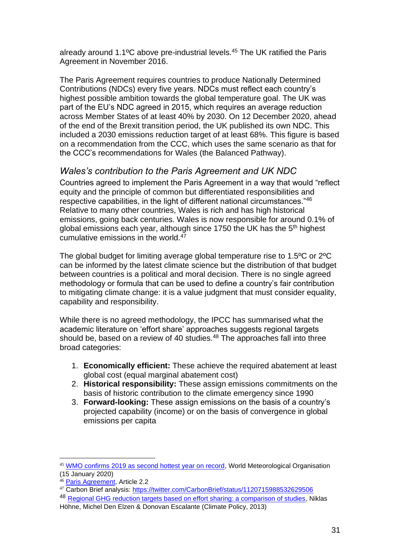already around 1.1ºC above pre-industrial levels.<sup>45</sup> The UK ratified the Paris Agreement in November 2016.

The Paris Agreement requires countries to produce Nationally Determined Contributions (NDCs) every five years. NDCs must reflect each country's highest possible ambition towards the global temperature goal. The UK was part of the EU's NDC agreed in 2015, which requires an average reduction across Member States of at least 40% by 2030. On 12 December 2020, ahead of the end of the Brexit transition period, the UK published its own NDC. This included a 2030 emissions reduction target of at least 68%. This figure is based on a recommendation from the CCC, which uses the same scenario as that for the CCC's recommendations for Wales (the Balanced Pathway).

## *Wales's contribution to the Paris Agreement and UK NDC*

Countries agreed to implement the Paris Agreement in a way that would "reflect equity and the principle of common but differentiated responsibilities and respective capabilities, in the light of different national circumstances."<sup>46</sup> Relative to many other countries, Wales is rich and has high historical emissions, going back centuries. Wales is now responsible for around 0.1% of global emissions each year, although since 1750 the UK has the 5<sup>th</sup> highest cumulative emissions in the world. $47$ 

The global budget for limiting average global temperature rise to 1.5ºC or 2ºC can be informed by the latest climate science but the distribution of that budget between countries is a political and moral decision. There is no single agreed methodology or formula that can be used to define a country's fair contribution to mitigating climate change: it is a value judgment that must consider equality, capability and responsibility.

While there is no agreed methodology, the IPCC has summarised what the academic literature on 'effort share' approaches suggests regional targets should be, based on a review of 40 studies.<sup>48</sup> The approaches fall into three broad categories:

- 1. **Economically efficient:** These achieve the required abatement at least global cost (equal marginal abatement cost)
- 2. **Historical responsibility:** These assign emissions commitments on the basis of historic contribution to the climate emergency since 1990
- 3. **Forward-looking:** These assign emissions on the basis of a country's projected capability (income) or on the basis of convergence in global emissions per capita

<sup>45</sup> [WMO confirms 2019 as second hottest year on record,](https://public.wmo.int/en/media/press-release/wmo-confirms-2019-second-hottest-year-record) World Meteorological Organisation (15 January 2020)

<sup>46</sup> [Paris Agreement,](https://unfccc.int/files/essential_background/convention/application/pdf/english_paris_agreement.pdf) Article 2.2

<sup>47</sup> Carbon Brief analysis:<https://twitter.com/CarbonBrief/status/1120715988532629506>

<sup>48</sup> [Regional GHG reduction targets based on effort sharing: a comparison of studies,](https://www.tandfonline.com/doi/abs/10.1080/14693062.2014.849452) Niklas Höhne, Michel Den Elzen & Donovan Escalante (Climate Policy, 2013)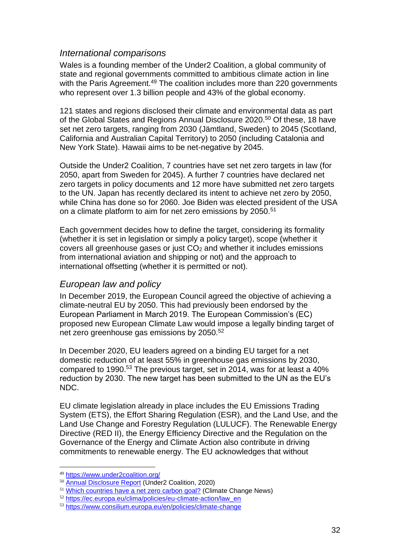#### *International comparisons*

Wales is a founding member of the Under2 Coalition, a global community of state and regional governments committed to ambitious climate action in line with the Paris Agreement.<sup>49</sup> The coalition includes more than 220 governments who represent over 1.3 billion people and 43% of the global economy.

121 states and regions disclosed their climate and environmental data as part of the Global States and Regions Annual Disclosure 2020.<sup>50</sup> Of these, 18 have set net zero targets, ranging from 2030 (Jämtland, Sweden) to 2045 (Scotland, California and Australian Capital Territory) to 2050 (including Catalonia and New York State). Hawaii aims to be net-negative by 2045.

Outside the Under2 Coalition, 7 countries have set net zero targets in law (for 2050, apart from Sweden for 2045). A further 7 countries have declared net zero targets in policy documents and 12 more have submitted net zero targets to the UN. Japan has recently declared its intent to achieve net zero by 2050, while China has done so for 2060. Joe Biden was elected president of the USA on a climate platform to aim for net zero emissions by 2050.<sup>51</sup>

Each government decides how to define the target, considering its formality (whether it is set in legislation or simply a policy target), scope (whether it covers all greenhouse gases or just  $CO<sub>2</sub>$  and whether it includes emissions from international aviation and shipping or not) and the approach to international offsetting (whether it is permitted or not).

## *European law and policy*

In December 2019, the European Council agreed the objective of achieving a climate-neutral EU by 2050. This had previously been endorsed by the European Parliament in March 2019. The European Commission's (EC) proposed new European Climate Law would impose a legally binding target of net zero greenhouse gas emissions by 2050.<sup>52</sup>

In December 2020, EU leaders agreed on a binding EU target for a net domestic reduction of at least 55% in greenhouse gas emissions by 2030, compared to 1990.<sup>53</sup> The previous target, set in 2014, was for at least a 40% reduction by 2030. The new target has been submitted to the UN as the EU's NDC.

EU climate legislation already in place includes the EU Emissions Trading System (ETS), the Effort Sharing Regulation (ESR), and the Land Use, and the Land Use Change and Forestry Regulation (LULUCF). The Renewable Energy Directive (RED II), the Energy Efficiency Directive and the Regulation on the Governance of the Energy and Climate Action also contribute in driving commitments to renewable energy. The EU acknowledges that without

<sup>49</sup> <https://www.under2coalition.org/>

<sup>50</sup> [Annual Disclosure Report](https://www.theclimategroup.org/AnnualDisclosure2020) (Under2 Coalition, 2020)

<sup>&</sup>lt;sup>51</sup> [Which countries have a net zero carbon goal?](https://www.climatechangenews.com/2019/06/14/countries-net-zero-climate-goal/) (Climate Change News)

<sup>52</sup> [https://ec.europa.eu/clima/policies/eu-climate-action/law\\_en](https://ec.europa.eu/clima/policies/eu-climate-action/law_en)

<sup>53</sup> <https://www.consilium.europa.eu/en/policies/climate-change>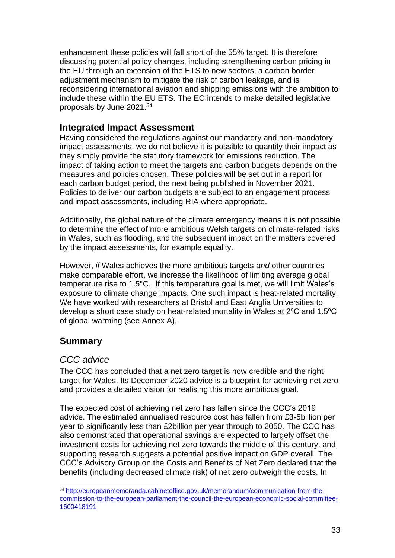enhancement these policies will fall short of the 55% target. It is therefore discussing potential policy changes, including strengthening carbon pricing in the EU through an extension of the ETS to new sectors, a carbon border adjustment mechanism to mitigate the risk of carbon leakage, and is reconsidering international aviation and shipping emissions with the ambition to include these within the EU ETS. The EC intends to make detailed legislative proposals by June 2021.<sup>54</sup>

## **Integrated Impact Assessment**

Having considered the regulations against our mandatory and non-mandatory impact assessments, we do not believe it is possible to quantify their impact as they simply provide the statutory framework for emissions reduction. The impact of taking action to meet the targets and carbon budgets depends on the measures and policies chosen. These policies will be set out in a report for each carbon budget period, the next being published in November 2021. Policies to deliver our carbon budgets are subject to an engagement process and impact assessments, including RIA where appropriate.

Additionally, the global nature of the climate emergency means it is not possible to determine the effect of more ambitious Welsh targets on climate-related risks in Wales, such as flooding, and the subsequent impact on the matters covered by the impact assessments, for example equality.

However, *if* Wales achieves the more ambitious targets *and* other countries make comparable effort, we increase the likelihood of limiting average global temperature rise to 1.5°C. If this temperature goal is met, we will limit Wales's exposure to climate change impacts. One such impact is heat-related mortality. We have worked with researchers at Bristol and East Anglia Universities to develop a short case study on heat-related mortality in Wales at 2ºC and 1.5ºC of global warming (see Annex A).

## **Summary**

## *CCC advice*

The CCC has concluded that a net zero target is now credible and the right target for Wales. Its December 2020 advice is a blueprint for achieving net zero and provides a detailed vision for realising this more ambitious goal.

The expected cost of achieving net zero has fallen since the CCC's 2019 advice. The estimated annualised resource cost has fallen from £3-5billion per year to significantly less than £2billion per year through to 2050. The CCC has also demonstrated that operational savings are expected to largely offset the investment costs for achieving net zero towards the middle of this century, and supporting research suggests a potential positive impact on GDP overall. The CCC's Advisory Group on the Costs and Benefits of Net Zero declared that the benefits (including decreased climate risk) of net zero outweigh the costs. In

<sup>54</sup> [http://europeanmemoranda.cabinetoffice.gov.uk/memorandum/communication-from-the](http://europeanmemoranda.cabinetoffice.gov.uk/memorandum/communication-from-the-commission-to-the-european-parliament-the-council-the-european-economic-social-committee-1600418191)[commission-to-the-european-parliament-the-council-the-european-economic-social-committee-](http://europeanmemoranda.cabinetoffice.gov.uk/memorandum/communication-from-the-commission-to-the-european-parliament-the-council-the-european-economic-social-committee-1600418191)[1600418191](http://europeanmemoranda.cabinetoffice.gov.uk/memorandum/communication-from-the-commission-to-the-european-parliament-the-council-the-european-economic-social-committee-1600418191)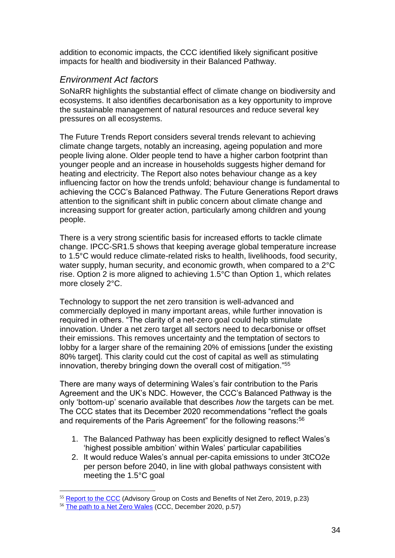addition to economic impacts, the CCC identified likely significant positive impacts for health and biodiversity in their Balanced Pathway.

## *Environment Act factors*

SoNaRR highlights the substantial effect of climate change on biodiversity and ecosystems. It also identifies decarbonisation as a key opportunity to improve the sustainable management of natural resources and reduce several key pressures on all ecosystems.

The Future Trends Report considers several trends relevant to achieving climate change targets, notably an increasing, ageing population and more people living alone. Older people tend to have a higher carbon footprint than younger people and an increase in households suggests higher demand for heating and electricity. The Report also notes behaviour change as a key influencing factor on how the trends unfold; behaviour change is fundamental to achieving the CCC's Balanced Pathway. The Future Generations Report draws attention to the significant shift in public concern about climate change and increasing support for greater action, particularly among children and young people.

There is a very strong scientific basis for increased efforts to tackle climate change. IPCC-SR1.5 shows that keeping average global temperature increase to 1.5°C would reduce climate-related risks to health, livelihoods, food security, water supply, human security, and economic growth, when compared to a 2<sup>°</sup>C rise. Option 2 is more aligned to achieving 1.5°C than Option 1, which relates more closely 2°C.

Technology to support the net zero transition is well-advanced and commercially deployed in many important areas, while further innovation is required in others. "The clarity of a net-zero goal could help stimulate innovation. Under a net zero target all sectors need to decarbonise or offset their emissions. This removes uncertainty and the temptation of sectors to lobby for a larger share of the remaining 20% of emissions [under the existing 80% target]. This clarity could cut the cost of capital as well as stimulating innovation, thereby bringing down the overall cost of mitigation."<sup>55</sup>

There are many ways of determining Wales's fair contribution to the Paris Agreement and the UK's NDC. However, the CCC's Balanced Pathway is the only 'bottom-up' scenario available that describes *how* the targets can be met. The CCC states that its December 2020 recommendations "reflect the goals and requirements of the Paris Agreement" for the following reasons:<sup>56</sup>

- 1. The Balanced Pathway has been explicitly designed to reflect Wales's 'highest possible ambition' within Wales' particular capabilities
- 2. It would reduce Wales's annual per-capita emissions to under 3tCO2e per person before 2040, in line with global pathways consistent with meeting the 1.5°C goal

<sup>55</sup> [Report to the CCC](https://www.theccc.org.uk/wp-content/uploads/2019/05/Advisory-Group-on-Costs-and-Benefits-of-Net-Zero.pdf) (Advisory Group on Costs and Benefits of Net Zero, 2019, p.23)

<sup>&</sup>lt;sup>56</sup> [The path to a Net Zero Wales](https://www.theccc.org.uk/publication/the-path-to-net-zero-and-progress-reducing-emissions-in-wales) (CCC, December 2020, p.57)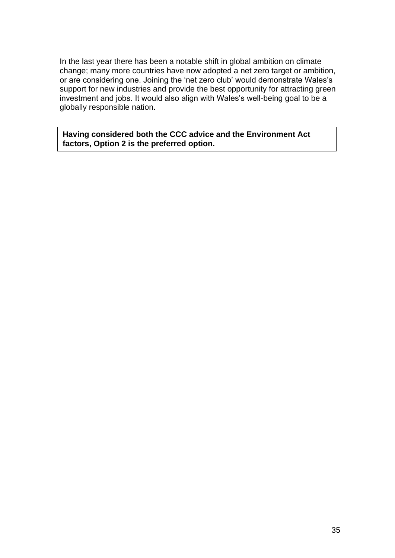In the last year there has been a notable shift in global ambition on climate change; many more countries have now adopted a net zero target or ambition, or are considering one. Joining the 'net zero club' would demonstrate Wales's support for new industries and provide the best opportunity for attracting green investment and jobs. It would also align with Wales's well-being goal to be a globally responsible nation.

**Having considered both the CCC advice and the Environment Act factors, Option 2 is the preferred option.**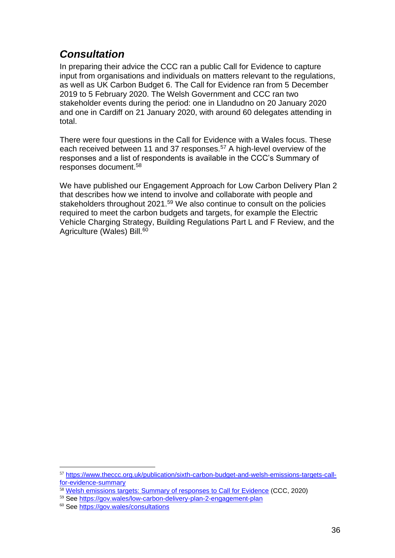## <span id="page-35-0"></span>*Consultation*

In preparing their advice the CCC ran a public Call for Evidence to capture input from organisations and individuals on matters relevant to the regulations, as well as UK Carbon Budget 6. The Call for Evidence ran from 5 December 2019 to 5 February 2020. The Welsh Government and CCC ran two stakeholder events during the period: one in Llandudno on 20 January 2020 and one in Cardiff on 21 January 2020, with around 60 delegates attending in total.

There were four questions in the Call for Evidence with a Wales focus. These each received between 11 and 37 responses.<sup>57</sup> A high-level overview of the responses and a list of respondents is available in the CCC's Summary of responses document.<sup>58</sup>

We have published our Engagement Approach for Low Carbon Delivery Plan 2 that describes how we intend to involve and collaborate with people and stakeholders throughout 2021.<sup>59</sup> We also continue to consult on the policies required to meet the carbon budgets and targets, for example the Electric Vehicle Charging Strategy, Building Regulations Part L and F Review, and the Agriculture (Wales) Bill.<sup>60</sup>

<sup>57</sup> [https://www.theccc.org.uk/publication/sixth-carbon-budget-and-welsh-emissions-targets-call](https://www.theccc.org.uk/publication/sixth-carbon-budget-and-welsh-emissions-targets-call-for-evidence-summary)[for-evidence-summary](https://www.theccc.org.uk/publication/sixth-carbon-budget-and-welsh-emissions-targets-call-for-evidence-summary)

<sup>58</sup> [Welsh emissions targets: Summary of responses to Call for Evidence](https://www.theccc.org.uk/wp-content/uploads/2020/07/CfE-summary-Wales-1.pdf) (CCC, 2020)

<sup>59</sup> See<https://gov.wales/low-carbon-delivery-plan-2-engagement-plan>

<sup>60</sup> See<https://gov.wales/consultations>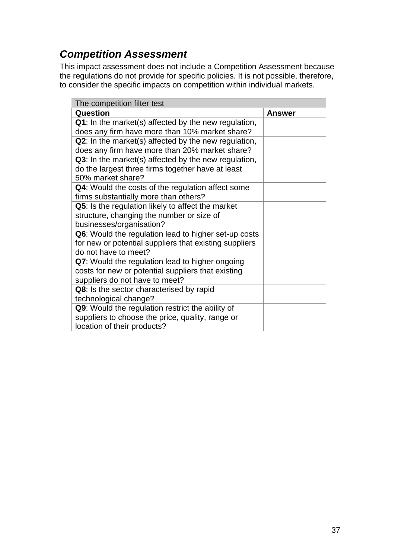## <span id="page-36-0"></span>*Competition Assessment*

This impact assessment does not include a Competition Assessment because the regulations do not provide for specific policies. It is not possible, therefore, to consider the specific impacts on competition within individual markets.

| The competition filter test                                 |        |
|-------------------------------------------------------------|--------|
| <b>Question</b>                                             | Answer |
| Q1: In the market(s) affected by the new regulation,        |        |
| does any firm have more than 10% market share?              |        |
| <b>Q2:</b> In the market(s) affected by the new regulation, |        |
| does any firm have more than 20% market share?              |        |
| Q3: In the market(s) affected by the new regulation,        |        |
| do the largest three firms together have at least           |        |
| 50% market share?                                           |        |
| <b>Q4:</b> Would the costs of the regulation affect some    |        |
| firms substantially more than others?                       |        |
| Q5: Is the regulation likely to affect the market           |        |
| structure, changing the number or size of                   |        |
| businesses/organisation?                                    |        |
| Q6: Would the regulation lead to higher set-up costs        |        |
| for new or potential suppliers that existing suppliers      |        |
| do not have to meet?                                        |        |
| Q7: Would the regulation lead to higher ongoing             |        |
| costs for new or potential suppliers that existing          |        |
| suppliers do not have to meet?                              |        |
| Q8: Is the sector characterised by rapid                    |        |
| technological change?                                       |        |
| Q9: Would the regulation restrict the ability of            |        |
| suppliers to choose the price, quality, range or            |        |
| location of their products?                                 |        |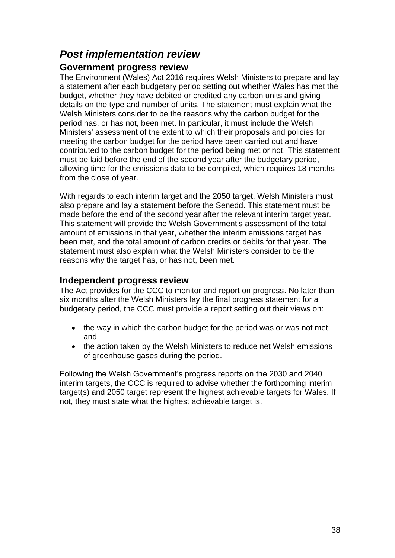## <span id="page-37-0"></span>*Post implementation review*

### **Government progress review**

The Environment (Wales) Act 2016 requires Welsh Ministers to prepare and lay a statement after each budgetary period setting out whether Wales has met the budget, whether they have debited or credited any carbon units and giving details on the type and number of units. The statement must explain what the Welsh Ministers consider to be the reasons why the carbon budget for the period has, or has not, been met. In particular, it must include the Welsh Ministers' assessment of the extent to which their proposals and policies for meeting the carbon budget for the period have been carried out and have contributed to the carbon budget for the period being met or not. This statement must be laid before the end of the second year after the budgetary period, allowing time for the emissions data to be compiled, which requires 18 months from the close of year.

With regards to each interim target and the 2050 target, Welsh Ministers must also prepare and lay a statement before the Senedd. This statement must be made before the end of the second year after the relevant interim target year. This statement will provide the Welsh Government's assessment of the total amount of emissions in that year, whether the interim emissions target has been met, and the total amount of carbon credits or debits for that year. The statement must also explain what the Welsh Ministers consider to be the reasons why the target has, or has not, been met.

### **Independent progress review**

The Act provides for the CCC to monitor and report on progress. No later than six months after the Welsh Ministers lay the final progress statement for a budgetary period, the CCC must provide a report setting out their views on:

- the way in which the carbon budget for the period was or was not met; and
- the action taken by the Welsh Ministers to reduce net Welsh emissions of greenhouse gases during the period.

Following the Welsh Government's progress reports on the 2030 and 2040 interim targets, the CCC is required to advise whether the forthcoming interim target(s) and 2050 target represent the highest achievable targets for Wales. If not, they must state what the highest achievable target is.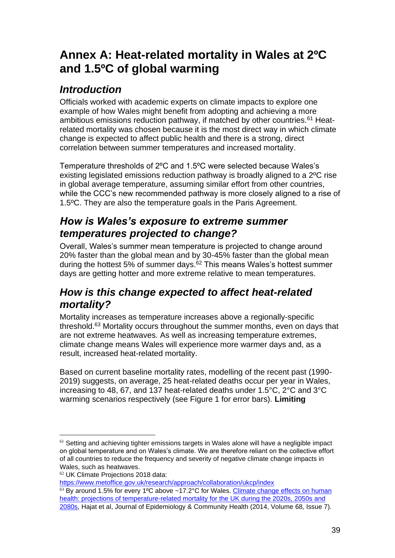# <span id="page-38-0"></span>**Annex A: Heat-related mortality in Wales at 2ºC and 1.5ºC of global warming**

## *Introduction*

Officials worked with academic experts on climate impacts to explore one example of how Wales might benefit from adopting and achieving a more ambitious emissions reduction pathway, if matched by other countries.<sup>61</sup> Heatrelated mortality was chosen because it is the most direct way in which climate change is expected to affect public health and there is a strong, direct correlation between summer temperatures and increased mortality.

Temperature thresholds of 2ºC and 1.5ºC were selected because Wales's existing legislated emissions reduction pathway is broadly aligned to a 2ºC rise in global average temperature, assuming similar effort from other countries, while the CCC's new recommended pathway is more closely aligned to a rise of 1.5ºC. They are also the temperature goals in the Paris Agreement.

## *How is Wales's exposure to extreme summer temperatures projected to change?*

Overall, Wales's summer mean temperature is projected to change around 20% faster than the global mean and by 30-45% faster than the global mean during the hottest 5% of summer days.<sup> $62$ </sup> This means Wales's hottest summer days are getting hotter and more extreme relative to mean temperatures.

## *How is this change expected to affect heat-related mortality?*

Mortality increases as temperature increases above a regionally-specific threshold.<sup>63</sup> Mortality occurs throughout the summer months, even on days that are not extreme heatwaves. As well as increasing temperature extremes, climate change means Wales will experience more warmer days and, as a result, increased heat-related mortality.

Based on current baseline mortality rates, modelling of the recent past (1990- 2019) suggests, on average, 25 heat-related deaths occur per year in Wales, increasing to 48, 67, and 137 heat-related deaths under 1.5°C, 2°C and 3°C warming scenarios respectively (see Figure 1 for error bars). **Limiting** 

<https://www.metoffice.gov.uk/research/approach/collaboration/ukcp/index>

 $61$  Setting and achieving tighter emissions targets in Wales alone will have a negligible impact on global temperature and on Wales's climate. We are therefore reliant on the collective effort of all countries to reduce the frequency and severity of negative climate change impacts in Wales, such as heatwaves.

<sup>62</sup> UK Climate Projections 2018 data:

 $63$  By around 1.5% for every 1°C above ~17.2°C for Wales. Climate change effects on human [health: projections of temperature-related mortality for the UK during the 2020s, 2050s and](https://jech.bmj.com/content/68/7/641)  [2080s,](https://jech.bmj.com/content/68/7/641) Hajat et al, Journal of Epidemiology & Community Health (2014, Volume 68, Issue 7).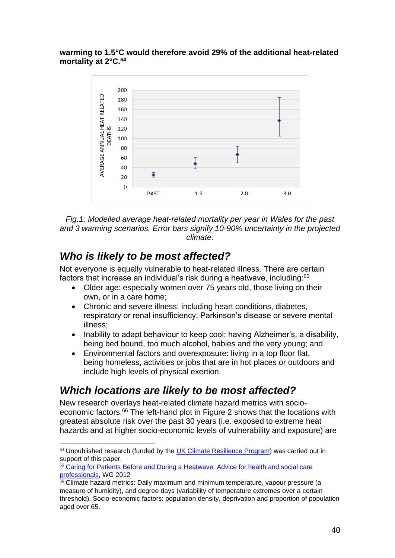**warming to 1.5°C would therefore avoid 29% of the additional heat-related mortality at 2°C.<sup>64</sup>**



*Fig.1: Modelled average heat-related mortality per year in Wales for the past and 3 warming scenarios. Error bars signify 10-90% uncertainty in the projected climate.*

## *Who is likely to be most affected?*

Not everyone is equally vulnerable to heat-related illness. There are certain factors that increase an individual's risk during a heatwave, including:<sup>65</sup>

- Older age: especially women over 75 years old, those living on their own, or in a care home;
- Chronic and severe illness: including heart conditions, diabetes, respiratory or renal insufficiency, Parkinson's disease or severe mental illness;
- Inability to adapt behaviour to keep cool: having Alzheimer's, a disability, being bed bound, too much alcohol, babies and the very young; and
- Environmental factors and overexposure: living in a top floor flat, being homeless, activities or jobs that are in hot places or outdoors and include high levels of physical exertion.

## *Which locations are likely to be most affected?*

New research overlays heat-related climate hazard metrics with socioeconomic factors.<sup>66</sup> The left-hand plot in Figure 2 shows that the locations with greatest absolute risk over the past 30 years (i.e. exposed to extreme heat hazards and at higher socio-economic levels of vulnerability and exposure) are

 $64$  Unpublished research (funded by the [UK Climate Resilience Program\)](https://eur01.safelinks.protection.outlook.com/?url=https%3A%2F%2Fwww.ukclimateresilience.org%2F&data=04%7C01%7CGraham.Craig2%40gov.wales%7C92495b51e838479557d208d8b196e854%7Ca2cc36c592804ae78887d06dab89216b%7C0%7C0%7C637454608989546412%7CUnknown%7CTWFpbGZsb3d8eyJWIjoiMC4wLjAwMDAiLCJQIjoiV2luMzIiLCJBTiI6Ik1haWwiLCJXVCI6Mn0%3D%7C1000&sdata=6jypml25T4Ib5RvZHa9YIDdgs4937M1IqIrM7Uok4Jc%3D&reserved=0) was carried out in support of this paper.

<sup>65</sup> [Caring for Patients Before and During a Heatwave: Advice for health and social care](http://www.wales.nhs.uk/sitesplus/documents/863/healthcare%20staff%20caring%20for%20patients%20during%20a%20heatwave.pdf)  [professionals,](http://www.wales.nhs.uk/sitesplus/documents/863/healthcare%20staff%20caring%20for%20patients%20during%20a%20heatwave.pdf) WG 2012

<sup>66</sup> Climate hazard metrics: Daily maximum and minimum temperature, vapour pressure (a measure of humidity), and degree days (variability of temperature extremes over a certain threshold). Socio-economic factors: population density, deprivation and proportion of population aged over 65.